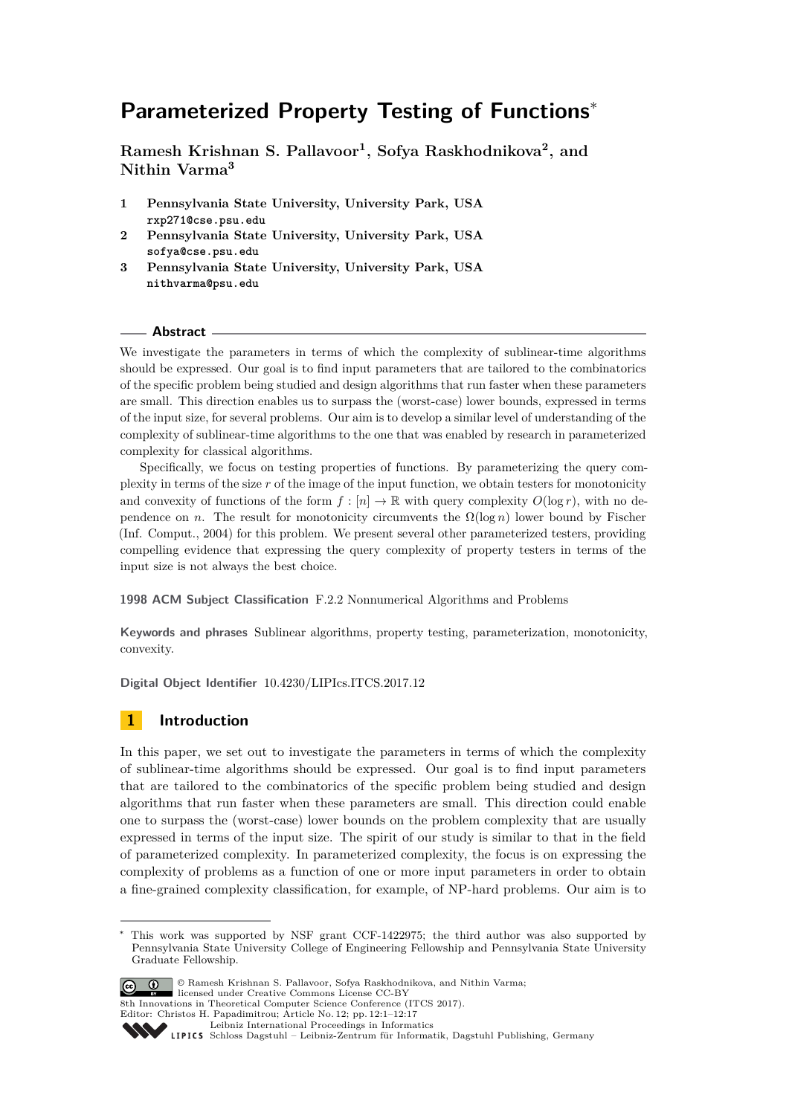# **Parameterized Property Testing of Functions**<sup>∗</sup>

**Ramesh Krishnan S. Pallavoor<sup>1</sup> , Sofya Raskhodnikova<sup>2</sup> , and Nithin Varma<sup>3</sup>**

- **1 Pennsylvania State University, University Park, USA rxp271@cse.psu.edu**
- **2 Pennsylvania State University, University Park, USA sofya@cse.psu.edu**
- **3 Pennsylvania State University, University Park, USA nithvarma@psu.edu**

# **Abstract**

We investigate the parameters in terms of which the complexity of sublinear-time algorithms should be expressed. Our goal is to find input parameters that are tailored to the combinatorics of the specific problem being studied and design algorithms that run faster when these parameters are small. This direction enables us to surpass the (worst-case) lower bounds, expressed in terms of the input size, for several problems. Our aim is to develop a similar level of understanding of the complexity of sublinear-time algorithms to the one that was enabled by research in parameterized complexity for classical algorithms.

Specifically, we focus on testing properties of functions. By parameterizing the query complexity in terms of the size *r* of the image of the input function, we obtain testers for monotonicity and convexity of functions of the form  $f : [n] \to \mathbb{R}$  with query complexity  $O(\log r)$ , with no dependence on *n*. The result for monotonicity circumvents the  $\Omega(\log n)$  lower bound by Fischer (Inf. Comput., 2004) for this problem. We present several other parameterized testers, providing compelling evidence that expressing the query complexity of property testers in terms of the input size is not always the best choice.

**1998 ACM Subject Classification** F.2.2 Nonnumerical Algorithms and Problems

**Keywords and phrases** Sublinear algorithms, property testing, parameterization, monotonicity, convexity.

**Digital Object Identifier** [10.4230/LIPIcs.ITCS.2017.12](http://dx.doi.org/10.4230/LIPIcs.ITCS.2017.12)

# **1 Introduction**

In this paper, we set out to investigate the parameters in terms of which the complexity of sublinear-time algorithms should be expressed. Our goal is to find input parameters that are tailored to the combinatorics of the specific problem being studied and design algorithms that run faster when these parameters are small. This direction could enable one to surpass the (worst-case) lower bounds on the problem complexity that are usually expressed in terms of the input size. The spirit of our study is similar to that in the field of parameterized complexity. In parameterized complexity, the focus is on expressing the complexity of problems as a function of one or more input parameters in order to obtain a fine-grained complexity classification, for example, of NP-hard problems. Our aim is to

This work was supported by NSF grant CCF-1422975; the third author was also supported by Pennsylvania State University College of Engineering Fellowship and Pennsylvania State University Graduate Fellowship.



<sup>©</sup> Ramesh Krishnan S. Pallavoor, Sofya Raskhodnikova, and Nithin Varma; licensed under Creative Commons License CC-BY

8th Innovations in Theoretical Computer Science Conference (ITCS 2017).

Editor: Christos H. Papadimitrou; Article No. 12; pp. 12:1–12[:17](#page-16-0)

[Leibniz International Proceedings in Informatics](http://www.dagstuhl.de/lipics/)

Leibniz international Floretungs in miximismos<br>
LIPICS [Schloss Dagstuhl – Leibniz-Zentrum für Informatik, Dagstuhl Publishing, Germany](http://www.dagstuhl.de)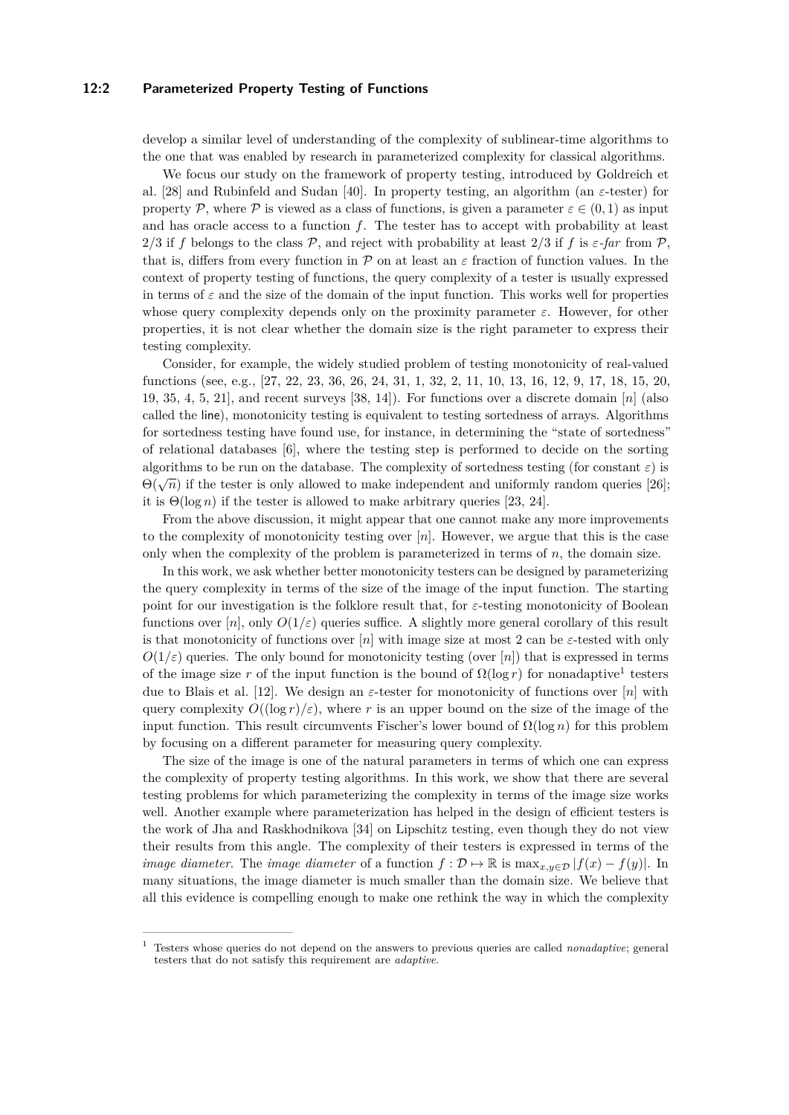#### **12:2 Parameterized Property Testing of Functions**

develop a similar level of understanding of the complexity of sublinear-time algorithms to the one that was enabled by research in parameterized complexity for classical algorithms.

We focus our study on the framework of property testing, introduced by Goldreich et al. [\[28\]](#page-16-1) and Rubinfeld and Sudan [\[40\]](#page-16-2). In property testing, an algorithm (an *ε*-tester) for property P, where P is viewed as a class of functions, is given a parameter  $\varepsilon \in (0,1)$  as input and has oracle access to a function *f*. The tester has to accept with probability at least 2/3 if f belongs to the class  $\mathcal{P}$ , and reject with probability at least 2/3 if f is  $\varepsilon$ -far from  $\mathcal{P}$ , that is, differs from every function in  $P$  on at least an  $\varepsilon$  fraction of function values. In the context of property testing of functions, the query complexity of a tester is usually expressed in terms of  $\varepsilon$  and the size of the domain of the input function. This works well for properties whose query complexity depends only on the proximity parameter  $\varepsilon$ . However, for other properties, it is not clear whether the domain size is the right parameter to express their testing complexity.

Consider, for example, the widely studied problem of testing monotonicity of real-valued functions (see, e.g., [\[27,](#page-16-3) [22,](#page-15-0) [23,](#page-15-1) [36,](#page-16-4) [26,](#page-16-5) [24,](#page-15-2) [31,](#page-16-6) [1,](#page-14-0) [32,](#page-16-7) [2,](#page-14-1) [11,](#page-15-3) [10,](#page-15-4) [13,](#page-15-5) [16,](#page-15-6) [12,](#page-15-7) [9,](#page-15-8) [17,](#page-15-9) [18,](#page-15-10) [15,](#page-15-11) [20,](#page-15-12) [19,](#page-15-13) [35,](#page-16-8) [4,](#page-14-2) [5,](#page-14-3) [21\]](#page-15-14), and recent surveys [\[38,](#page-16-9) [14\]](#page-15-15)). For functions over a discrete domain [*n*] (also called the line), monotonicity testing is equivalent to testing sortedness of arrays. Algorithms for sortedness testing have found use, for instance, in determining the "state of sortedness" of relational databases [\[6\]](#page-14-4), where the testing step is performed to decide on the sorting algorithms to be run on the database. The complexity of sortedness testing (for constant  $\varepsilon$ ) is  $Θ(\sqrt{n})$  if the tester is only allowed to make independent and uniformly random queries [\[26\]](#page-16-5); it is  $\Theta(\log n)$  if the tester is allowed to make arbitrary queries [\[23,](#page-15-1) [24\]](#page-15-2).

From the above discussion, it might appear that one cannot make any more improvements to the complexity of monotonicity testing over [*n*]. However, we argue that this is the case only when the complexity of the problem is parameterized in terms of *n*, the domain size.

In this work, we ask whether better monotonicity testers can be designed by parameterizing the query complexity in terms of the size of the image of the input function. The starting point for our investigation is the folklore result that, for *ε*-testing monotonicity of Boolean functions over  $[n]$ , only  $O(1/\varepsilon)$  queries suffice. A slightly more general corollary of this result is that monotonicity of functions over  $[n]$  with image size at most 2 can be  $\varepsilon$ -tested with only  $O(1/\varepsilon)$  queries. The only bound for monotonicity testing (over [*n*]) that is expressed in terms of the image size r of the input function is the bound of  $\Omega(\log r)$  for nonadaptive<sup>[1](#page-1-0)</sup> testers due to Blais et al. [\[12\]](#page-15-7). We design an *ε*-tester for monotonicity of functions over [*n*] with query complexity  $O((\log r)/\varepsilon)$ , where r is an upper bound on the size of the image of the input function. This result circumvents Fischer's lower bound of  $\Omega(\log n)$  for this problem by focusing on a different parameter for measuring query complexity.

The size of the image is one of the natural parameters in terms of which one can express the complexity of property testing algorithms. In this work, we show that there are several testing problems for which parameterizing the complexity in terms of the image size works well. Another example where parameterization has helped in the design of efficient testers is the work of Jha and Raskhodnikova [\[34\]](#page-16-10) on Lipschitz testing, even though they do not view their results from this angle. The complexity of their testers is expressed in terms of the *image diameter*. The *image diameter* of a function  $f : \mathcal{D} \to \mathbb{R}$  is  $\max_{x,y \in \mathcal{D}} |f(x) - f(y)|$ . In many situations, the image diameter is much smaller than the domain size. We believe that all this evidence is compelling enough to make one rethink the way in which the complexity

<span id="page-1-0"></span><sup>1</sup> Testers whose queries do not depend on the answers to previous queries are called *nonadaptive*; general testers that do not satisfy this requirement are *adaptive*.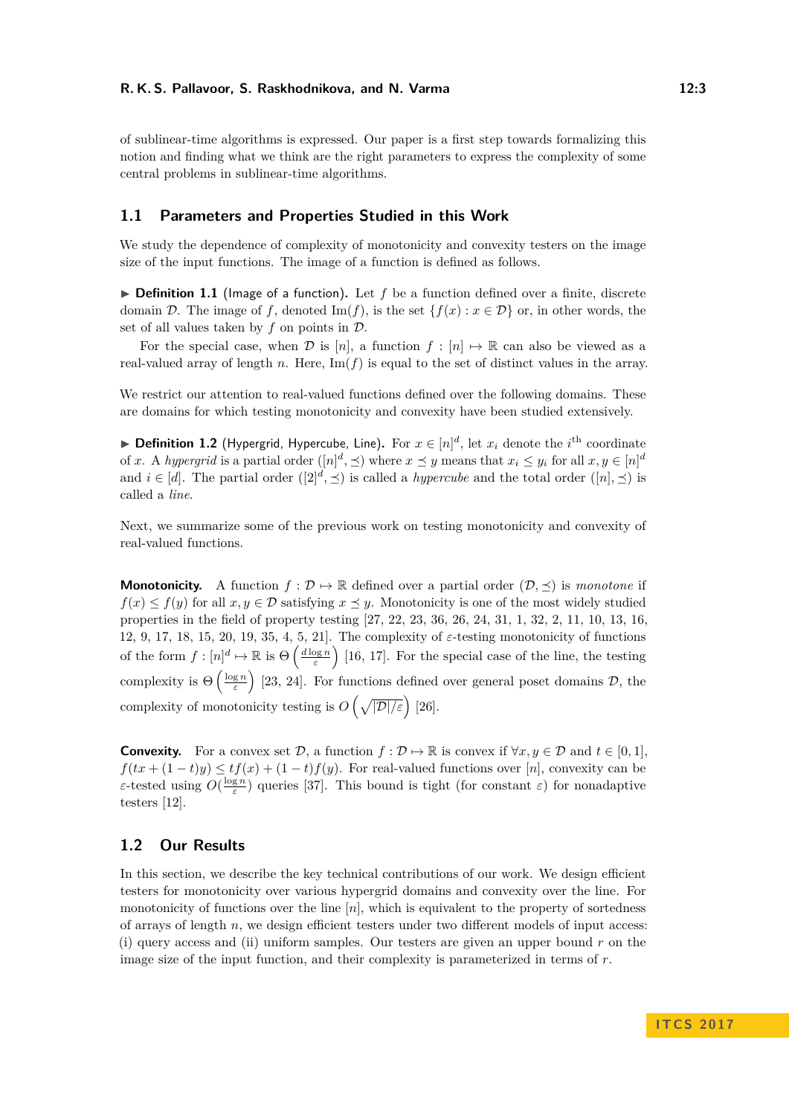of sublinear-time algorithms is expressed. Our paper is a first step towards formalizing this notion and finding what we think are the right parameters to express the complexity of some central problems in sublinear-time algorithms.

# **1.1 Parameters and Properties Studied in this Work**

We study the dependence of complexity of monotonicity and convexity testers on the image size of the input functions. The image of a function is defined as follows.

 $\triangleright$  **Definition 1.1** (Image of a function). Let f be a function defined over a finite, discrete domain D. The image of f, denoted Im(f), is the set  $\{f(x) : x \in D\}$  or, in other words, the set of all values taken by  $f$  on points in  $D$ .

For the special case, when D is [n], a function  $f : [n] \rightarrow \mathbb{R}$  can also be viewed as a real-valued array of length  $n$ . Here,  $\text{Im}(f)$  is equal to the set of distinct values in the array.

We restrict our attention to real-valued functions defined over the following domains. These are domains for which testing monotonicity and convexity have been studied extensively.

▶ **Definition 1.2** (Hypergrid, Hypercube, Line). For  $x \in [n]^d$ , let  $x_i$  denote the *i*<sup>th</sup> coordinate of *x*. A *hypergrid* is a partial order  $([n]^d, \preceq)$  where  $x \preceq y$  means that  $x_i \leq y_i$  for all  $x, y \in [n]^d$ and  $i \in [d]$ . The partial order  $([2]^d, \preceq)$  is called a *hypercube* and the total order  $([n], \preceq)$  is called a *line*.

Next, we summarize some of the previous work on testing monotonicity and convexity of real-valued functions.

**Monotonicity.** A function  $f : \mathcal{D} \to \mathbb{R}$  defined over a partial order  $(\mathcal{D}, \preceq)$  is *monotone* if  $f(x) \leq f(y)$  for all  $x, y \in \mathcal{D}$  satisfying  $x \preceq y$ . Monotonicity is one of the most widely studied properties in the field of property testing [\[27,](#page-16-3) [22,](#page-15-0) [23,](#page-15-1) [36,](#page-16-4) [26,](#page-16-5) [24,](#page-15-2) [31,](#page-16-6) [1,](#page-14-0) [32,](#page-16-7) [2,](#page-14-1) [11,](#page-15-3) [10,](#page-15-4) [13,](#page-15-5) [16,](#page-15-6) [12,](#page-15-7) [9,](#page-15-8) [17,](#page-15-9) [18,](#page-15-10) [15,](#page-15-11) [20,](#page-15-12) [19,](#page-15-13) [35,](#page-16-8) [4,](#page-14-2) [5,](#page-14-3) [21\]](#page-15-14). The complexity of *ε*-testing monotonicity of functions of the form  $f: [n]^d \mapsto \mathbb{R}$  is  $\Theta\left(\frac{d \log n}{\varepsilon}\right)$  [\[16,](#page-15-6) [17\]](#page-15-9). For the special case of the line, the testing complexity is  $\Theta\left(\frac{\log n}{\varepsilon}\right)$  [\[23,](#page-15-1) [24\]](#page-15-2). For functions defined over general poset domains  $\mathcal{D}$ , the complexity of monotonicity testing is  $O\left(\sqrt{|\mathcal{D}|/\varepsilon}\right)$  [\[26\]](#page-16-5).

**Convexity.** For a convex set  $\mathcal{D}$ , a function  $f : \mathcal{D} \to \mathbb{R}$  is convex if  $\forall x, y \in \mathcal{D}$  and  $t \in [0, 1]$ ,  $f(tx + (1-t)y) \le tf(x) + (1-t)f(y)$ . For real-valued functions over [*n*], convexity can be *ε*-tested using  $O(\frac{\log n}{\varepsilon})$  queries [\[37\]](#page-16-11). This bound is tight (for constant  $\varepsilon$ ) for nonadaptive testers [\[12\]](#page-15-7).

# **1.2 Our Results**

In this section, we describe the key technical contributions of our work. We design efficient testers for monotonicity over various hypergrid domains and convexity over the line. For monotonicity of functions over the line [*n*], which is equivalent to the property of sortedness of arrays of length *n*, we design efficient testers under two different models of input access: (i) query access and (ii) uniform samples. Our testers are given an upper bound *r* on the image size of the input function, and their complexity is parameterized in terms of *r*.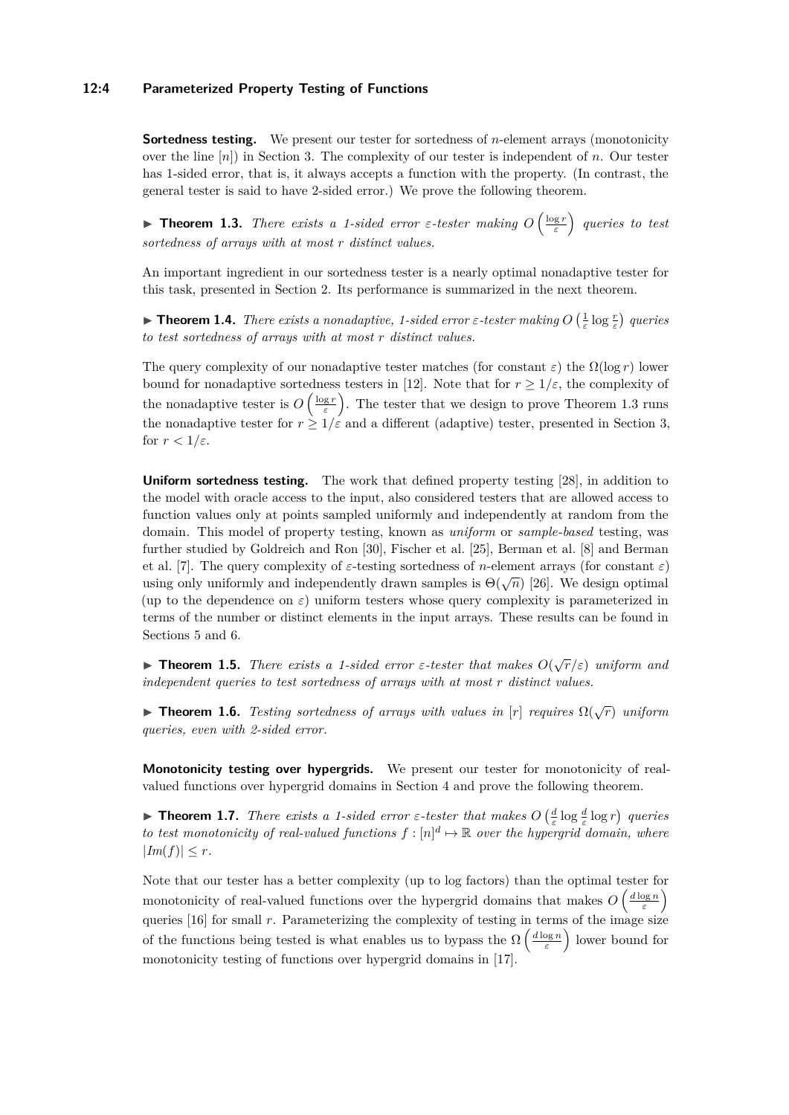#### **12:4 Parameterized Property Testing of Functions**

**Sortedness testing.** We present our tester for sortedness of *n*-element arrays (monotonicity over the line [*n*]) in Section [3.](#page-6-0) The complexity of our tester is independent of *n*. Our tester has 1-sided error, that is, it always accepts a function with the property. (In contrast, the general tester is said to have 2-sided error.) We prove the following theorem.

<span id="page-3-0"></span>**Theorem 1.3.** *There exists a 1-sided error ε-tester making*  $O\left(\frac{\log r}{\varepsilon}\right)$  *queries to test sortedness of arrays with at most r distinct values.*

An important ingredient in our sortedness tester is a nearly optimal nonadaptive tester for this task, presented in Section [2.](#page-4-0) Its performance is summarized in the next theorem.

<span id="page-3-1"></span>**Theorem 1.4.** *There exists a nonadaptive, 1-sided error*  $\varepsilon$ -tester making  $O\left(\frac{1}{\varepsilon} \log \frac{r}{\varepsilon}\right)$  queries *to test sortedness of arrays with at most r distinct values.*

The query complexity of our nonadaptive tester matches (for constant  $\varepsilon$ ) the  $\Omega(\log r)$  lower bound for nonadaptive sortedness testers in [\[12\]](#page-15-7). Note that for  $r > 1/\varepsilon$ , the complexity of the nonadaptive tester is  $O\left(\frac{\log r}{\varepsilon}\right)$ . The tester that we design to prove Theorem [1.3](#page-3-0) runs the nonadaptive tester for  $r \geq 1/\varepsilon$  and a different (adaptive) tester, presented in Section [3,](#page-6-0) for  $r < 1/\varepsilon$ .

**Uniform sortedness testing.** The work that defined property testing [\[28\]](#page-16-1), in addition to the model with oracle access to the input, also considered testers that are allowed access to function values only at points sampled uniformly and independently at random from the domain. This model of property testing, known as *uniform* or *sample-based* testing, was further studied by Goldreich and Ron [\[30\]](#page-16-12), Fischer et al. [\[25\]](#page-15-16), Berman et al. [\[8\]](#page-15-17) and Berman et al. [\[7\]](#page-14-5). The query complexity of *ε*-testing sortedness of *n*-element arrays (for constant *ε*) using only uniformly and independently drawn samples is  $\Theta(\sqrt{n})$  [\[26\]](#page-16-5). We design optimal (up to the dependence on  $\varepsilon$ ) uniform testers whose query complexity is parameterized in terms of the number or distinct elements in the input arrays. These results can be found in Sections [5](#page-10-0) and [6.](#page-11-0)

<span id="page-3-3"></span>**Findment 1.5.** *There exists a 1-sided error*  $\varepsilon$ -tester that makes  $O(\sqrt{r}/\varepsilon)$  uniform and *independent queries to test sortedness of arrays with at most r distinct values.*

<span id="page-3-4"></span>**Fineorem 1.6.** *Testing sortedness of arrays with values in* [*r*] *requires*  $\Omega(\sqrt{r})$  *uniform queries, even with 2-sided error.*

**Monotonicity testing over hypergrids.** We present our tester for monotonicity of realvalued functions over hypergrid domains in Section [4](#page-8-0) and prove the following theorem.

<span id="page-3-2"></span>**Theorem 1.7.** *There exists a 1-sided error*  $\varepsilon$ -tester that makes  $O\left(\frac{d}{\varepsilon} \log \frac{d}{\varepsilon} \log r\right)$  queries *to test monotonicity of real-valued functions*  $f : [n]^d \mapsto \mathbb{R}$  *over the hypergrid domain, where*  $|Im(f)| < r$ .

Note that our tester has a better complexity (up to log factors) than the optimal tester for monotonicity of real-valued functions over the hypergrid domains that makes  $O\left(\frac{d \log n}{\varepsilon}\right)$ queries [\[16\]](#page-15-6) for small  $r$ . Parameterizing the complexity of testing in terms of the image size of the functions being tested is what enables us to bypass the  $\Omega\left(\frac{d \log n}{\varepsilon}\right)$  lower bound for monotonicity testing of functions over hypergrid domains in [\[17\]](#page-15-9).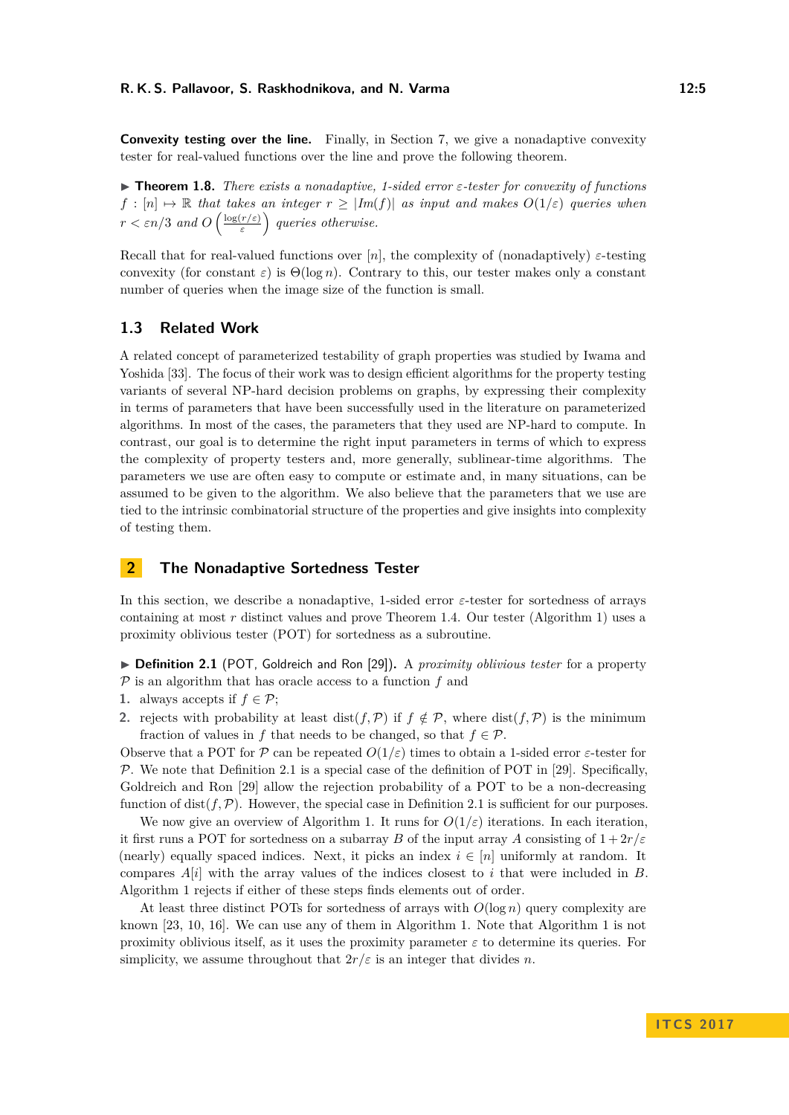**Convexity testing over the line.** Finally, in Section [7,](#page-13-0) we give a nonadaptive convexity tester for real-valued functions over the line and prove the following theorem.

<span id="page-4-2"></span>I **Theorem 1.8.** *There exists a nonadaptive, 1-sided error ε-tester for convexity of functions*  $f : [n] \rightarrow \mathbb{R}$  *that takes an integer*  $r \geq |Im(f)|$  *as input and makes*  $O(1/\varepsilon)$  *queries when*  $r < \varepsilon n/3$  *and*  $O\left(\frac{\log(r/\varepsilon)}{\varepsilon}\right)$ *ε queries otherwise.*

Recall that for real-valued functions over  $[n]$ , the complexity of (nonadaptively)  $\varepsilon$ -testing convexity (for constant  $\varepsilon$ ) is  $\Theta(\log n)$ . Contrary to this, our tester makes only a constant number of queries when the image size of the function is small.

# **1.3 Related Work**

A related concept of parameterized testability of graph properties was studied by Iwama and Yoshida [\[33\]](#page-16-13). The focus of their work was to design efficient algorithms for the property testing variants of several NP-hard decision problems on graphs, by expressing their complexity in terms of parameters that have been successfully used in the literature on parameterized algorithms. In most of the cases, the parameters that they used are NP-hard to compute. In contrast, our goal is to determine the right input parameters in terms of which to express the complexity of property testers and, more generally, sublinear-time algorithms. The parameters we use are often easy to compute or estimate and, in many situations, can be assumed to be given to the algorithm. We also believe that the parameters that we use are tied to the intrinsic combinatorial structure of the properties and give insights into complexity of testing them.

# <span id="page-4-0"></span>**2 The Nonadaptive Sortedness Tester**

In this section, we describe a nonadaptive, 1-sided error *ε*-tester for sortedness of arrays containing at most *r* distinct values and prove Theorem [1.4.](#page-3-1) Our tester (Algorithm [1\)](#page-5-0) uses a proximity oblivious tester (POT) for sortedness as a subroutine.

<span id="page-4-1"></span>▶ **Definition 2.1** (POT, Goldreich and Ron [\[29\]](#page-16-14)). A *proximity oblivious tester* for a property P is an algorithm that has oracle access to a function *f* and

- **1.** always accepts if  $f \in \mathcal{P}$ ;
- **2.** rejects with probability at least dist(*f,P*) if  $f \notin P$ , where dist(*f,P*) is the minimum fraction of values in *f* that needs to be changed, so that  $f \in \mathcal{P}$ .

Observe that a POT for P can be repeated  $O(1/\varepsilon)$  times to obtain a 1-sided error  $\varepsilon$ -tester for  $\mathcal P$ . We note that Definition [2.1](#page-4-1) is a special case of the definition of POT in [\[29\]](#page-16-14). Specifically, Goldreich and Ron [\[29\]](#page-16-14) allow the rejection probability of a POT to be a non-decreasing function of dist( $f, P$ ). However, the special case in Definition [2.1](#page-4-1) is sufficient for our purposes.

We now give an overview of Algorithm [1.](#page-5-0) It runs for  $O(1/\varepsilon)$  iterations. In each iteration, it first runs a POT for sortedness on a subarray *B* of the input array *A* consisting of  $1 + 2r/\varepsilon$ (nearly) equally spaced indices. Next, it picks an index  $i \in [n]$  uniformly at random. It compares *A*[*i*] with the array values of the indices closest to *i* that were included in *B*. Algorithm [1](#page-5-0) rejects if either of these steps finds elements out of order.

At least three distinct POTs for sortedness of arrays with  $O(\log n)$  query complexity are known [\[23,](#page-15-1) [10,](#page-15-4) [16\]](#page-15-6). We can use any of them in Algorithm [1.](#page-5-0) Note that Algorithm [1](#page-5-0) is not proximity oblivious itself, as it uses the proximity parameter  $\varepsilon$  to determine its queries. For simplicity, we assume throughout that  $2r/\varepsilon$  is an integer that divides *n*.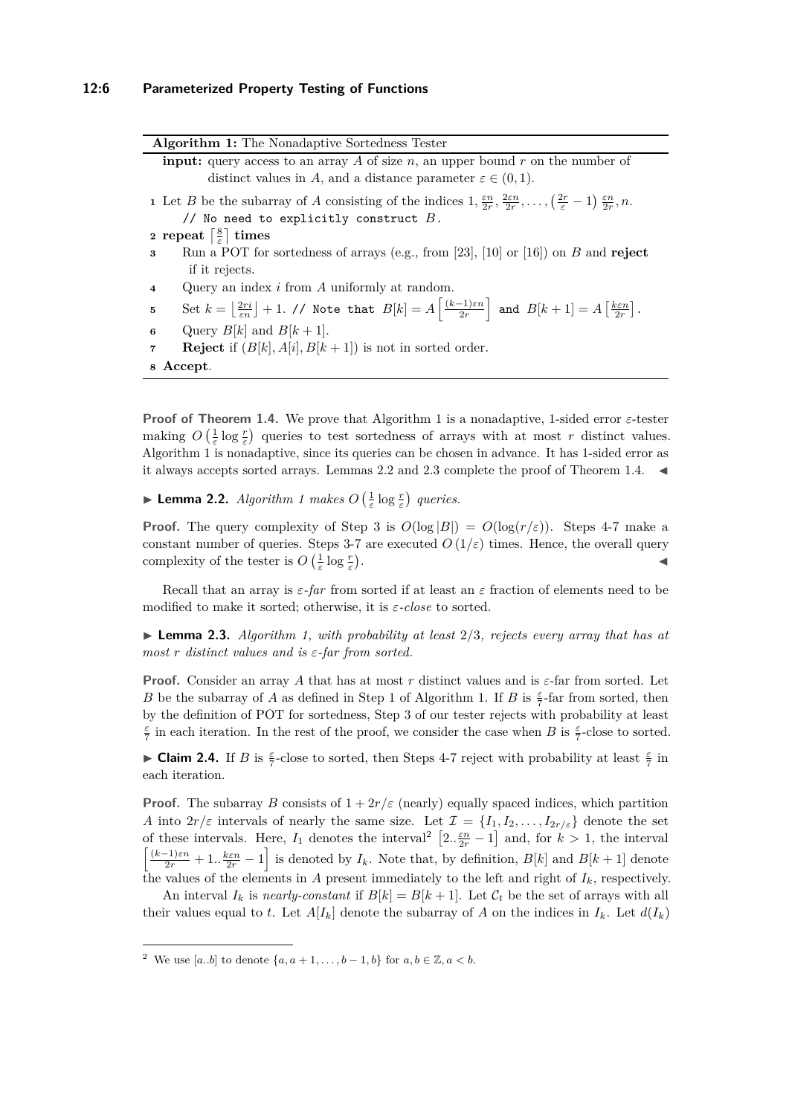<span id="page-5-6"></span><span id="page-5-3"></span><span id="page-5-0"></span>

| Algorithm 1: The Nonadaptive Sortedness Tester                                                                                                                                                                                        |
|---------------------------------------------------------------------------------------------------------------------------------------------------------------------------------------------------------------------------------------|
| <b>input:</b> query access to an array A of size n, an upper bound r on the number of                                                                                                                                                 |
| distinct values in A, and a distance parameter $\varepsilon \in (0,1)$ .                                                                                                                                                              |
| 1 Let B be the subarray of A consisting of the indices $1, \frac{\varepsilon n}{2r}, \frac{2\varepsilon n}{2r}, \ldots, (\frac{2r}{\varepsilon}-1) \frac{\varepsilon n}{2r}, n$ .                                                     |
| // No need to explicitly construct $B$ .                                                                                                                                                                                              |
| 2 repeat $\left[\frac{8}{5}\right]$ times                                                                                                                                                                                             |
| Run a POT for sortedness of arrays (e.g., from [23], [10] or [16]) on $B$ and reject<br>$\mathbf{3}$                                                                                                                                  |
| if it rejects.                                                                                                                                                                                                                        |
| Query an index $i$ from $A$ uniformly at random.<br>$\overline{4}$                                                                                                                                                                    |
| Set $k = \left\lfloor \frac{2ri}{\epsilon n} \right\rfloor + 1$ . // Note that $B[k] = A\left\lfloor \frac{(k-1)\epsilon n}{2r} \right\rfloor$ and $B[k+1] = A\left\lfloor \frac{k\epsilon n}{2r} \right\rfloor$ .<br>$5\phantom{.0}$ |
| Query $B[k]$ and $B[k+1]$ .<br>6                                                                                                                                                                                                      |
| <b>Reject</b> if $(B[k], A[i], B[k+1])$ is not in sorted order.<br>$\overline{7}$                                                                                                                                                     |
| 8 Accept.                                                                                                                                                                                                                             |

<span id="page-5-5"></span><span id="page-5-4"></span>**Proof of Theorem [1.4.](#page-3-1)** We prove that Algorithm [1](#page-5-0) is a nonadaptive, 1-sided error *ε*-tester making  $O\left(\frac{1}{\varepsilon}\log \frac{r}{\varepsilon}\right)$  queries to test sortedness of arrays with at most *r* distinct values. Algorithm [1](#page-5-0) is nonadaptive, since its queries can be chosen in advance. It has 1-sided error as it always accepts sorted arrays. Lemmas [2.2](#page-5-1) and [2.3](#page-5-2) complete the proof of Theorem [1.4.](#page-3-1)  $\blacktriangleleft$ 

<span id="page-5-1"></span>**Example [1](#page-5-0)** *Lemma 2.2. <i>Algorithm 1 makes*  $O\left(\frac{1}{\varepsilon} \log \frac{r}{\varepsilon}\right)$  *queries.* 

**Proof.** The query complexity of Step [3](#page-5-3) is  $O(\log |B|) = O(\log(r/\varepsilon))$ . Steps [4](#page-5-4)[-7](#page-5-5) make a constant number of queries. Steps [3-](#page-5-3)[7](#page-5-5) are executed  $O(1/\varepsilon)$  times. Hence, the overall query complexity of the tester is  $O\left(\frac{1}{\varepsilon} \log \frac{r}{\varepsilon}\right)$ . John Paris, John Paris, John Paris, John Paris, John Paris, John Paris, John Paris, John Paris, John Paris,

Recall that an array is  $\varepsilon$ -far from sorted if at least an  $\varepsilon$  fraction of elements need to be modified to make it sorted; otherwise, it is *ε-close* to sorted.

<span id="page-5-2"></span>I **Lemma 2.3.** *Algorithm [1,](#page-5-0) with probability at least* 2*/*3*, rejects every array that has at most r distinct values and is ε-far from sorted.*

**Proof.** Consider an array *A* that has at most *r* distinct values and is *ε*-far from sorted. Let *B* be the subarray of *A* as defined in Step [1](#page-5-6) of Algorithm [1.](#page-5-0) If *B* is  $\frac{\varepsilon}{7}$ -far from sorted, then by the definition of POT for sortedness, Step [3](#page-5-3) of our tester rejects with probability at least  $\frac{\varepsilon}{7}$  in each iteration. In the rest of the proof, we consider the case when *B* is  $\frac{\varepsilon}{7}$ -close to sorted.

<span id="page-5-8"></span>► Claim 2.4. If *B* is  $\frac{\varepsilon}{7}$  $\frac{\varepsilon}{7}$  $\frac{\varepsilon}{7}$ -close to sorted, then Steps [4-](#page-5-4)7 reject with probability at least  $\frac{\varepsilon}{7}$  in each iteration.

**Proof.** The subarray *B* consists of  $1 + 2r/\varepsilon$  (nearly) equally spaced indices, which partition *A* into  $2r/\varepsilon$  intervals of nearly the same size. Let  $\mathcal{I} = \{I_1, I_2, \ldots, I_{2r/\varepsilon}\}\$  denote the set of these intervals. Here,  $I_1$  denotes the interval<sup>[2](#page-5-7)</sup>  $\left[2 \cdot \frac{\varepsilon n}{2r} - 1\right]$  and, for  $k > 1$ , the interval  $\left[\frac{(k-1)\varepsilon n}{2r} + 1..\frac{k\varepsilon n}{2r} - 1\right]$  is denoted by  $I_k$ . Note that, by definition,  $B[k]$  and  $B[k+1]$  denote the values of the elements in *A* present immediately to the left and right of  $I_k$ , respectively.

An interval  $I_k$  is *nearly-constant* if  $B[k] = B[k+1]$ . Let  $C_t$  be the set of arrays with all their values equal to *t*. Let  $A[I_k]$  denote the subarray of *A* on the indices in  $I_k$ . Let  $d(I_k)$ 

<span id="page-5-7"></span><sup>&</sup>lt;sup>2</sup> We use [a.b] to denote { $a, a + 1, ..., b - 1, b$ } for  $a, b \in \mathbb{Z}, a < b$ .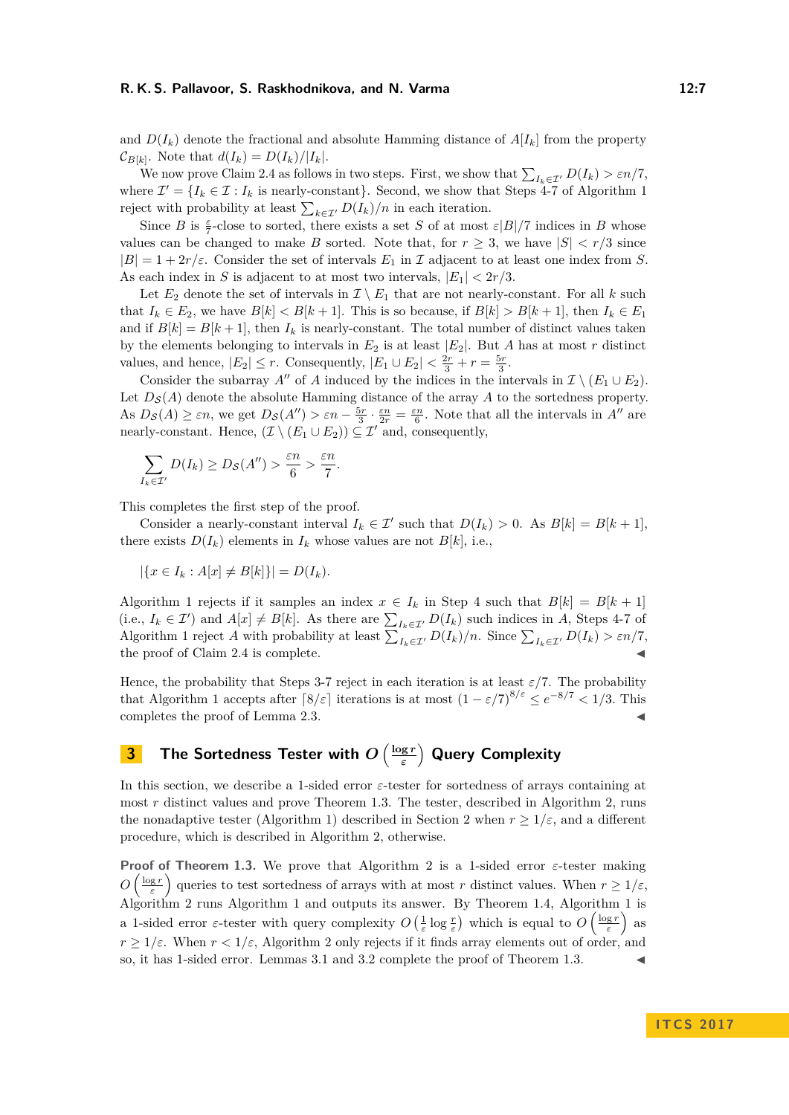and  $D(I_k)$  denote the fractional and absolute Hamming distance of  $A[I_k]$  from the property  $\mathcal{C}_{B[k]}$ . Note that  $d(I_k) = D(I_k)/|I_k|$ .

We now prove Claim [2.4](#page-5-8) as follows in two steps. First, we show that  $\sum_{I_k \in \mathcal{I}'} D(I_k) > \varepsilon n/7$ , where  $\mathcal{I}' = \{I_k \in \mathcal{I} : I_k \text{ is nearly-constant}\}\.$  Second, we show that Steps [4-](#page-5-4)[7](#page-5-5) of Algorithm [1](#page-5-0) reject with probability at least  $\sum_{k \in \mathcal{I}'} D(I_k)/n$  in each iteration.

Since *B* is  $\frac{\varepsilon}{7}$ -close to sorted, there exists a set *S* of at most  $\varepsilon|B|/7$  indices in *B* whose values can be changed to make *B* sorted. Note that, for  $r \geq 3$ , we have  $|S| < r/3$  since  $|B| = 1 + 2r/\varepsilon$ . Consider the set of intervals  $E_1$  in I adjacent to at least one index from *S*. As each index in *S* is adjacent to at most two intervals,  $|E_1| < 2r/3$ .

Let  $E_2$  denote the set of intervals in  $\mathcal{I} \setminus E_1$  that are not nearly-constant. For all *k* such that  $I_k \in E_2$ , we have  $B[k] < B[k+1]$ . This is so because, if  $B[k] > B[k+1]$ , then  $I_k \in E_1$ and if  $B[k] = B[k+1]$ , then  $I_k$  is nearly-constant. The total number of distinct values taken by the elements belonging to intervals in  $E_2$  is at least  $|E_2|$ . But *A* has at most *r* distinct values, and hence,  $|E_2| \le r$ . Consequently,  $|E_1 \cup E_2| < \frac{2r}{3} + r = \frac{5r}{3}$ .

Consider the subarray *A*<sup>*n*</sup> of *A* induced by the indices in the intervals in  $\mathcal{I} \setminus (E_1 \cup E_2)$ . Let  $D_{\mathcal{S}}(A)$  denote the absolute Hamming distance of the array A to the sortedness property. As  $D_{\mathcal{S}}(A) \geq \varepsilon n$ , we get  $D_{\mathcal{S}}(A'') > \varepsilon n - \frac{5r}{3} \cdot \frac{\varepsilon n}{2r} = \frac{\varepsilon n}{6}$ . Note that all the intervals in A'' are nearly-constant. Hence,  $(\mathcal{I} \setminus (E_1 \cup E_2)) \subseteq \mathcal{I}'$  and, consequently,

$$
\sum_{I_k \in \mathcal{I}'} D(I_k) \geq D_{\mathcal{S}}(A'') > \frac{\varepsilon n}{6} > \frac{\varepsilon n}{7}.
$$

This completes the first step of the proof.

Consider a nearly-constant interval  $I_k \in \mathcal{I}'$  such that  $D(I_k) > 0$ . As  $B[k] = B[k+1]$ , there exists  $D(I_k)$  elements in  $I_k$  whose values are not  $B[k]$ , i.e.,

$$
|\{x \in I_k : A[x] \neq B[k]\}| = D(I_k).
$$

Algorithm [1](#page-5-0) rejects if it samples an index  $x \in I_k$  in Step [4](#page-5-4) such that  $B[k] = B[k+1]$ (i.e.,  $I_k \in \mathcal{I}'$ ) and  $A[x] \neq B[k]$ . As there are  $\sum_{I_k \in \mathcal{I}'} D(I_k)$  such indices in *A*, Steps [4](#page-5-4)[-7](#page-5-5) of Algorithm [1](#page-5-0) reject *A* with probability at least  $\sum_{I_k \in \mathcal{I}'} D(I_k)/n$ . Since  $\sum_{I_k \in \mathcal{I}'} D(I_k) > \varepsilon n/7$ , the proof of Claim [2.4](#page-5-8) is complete.

Hence, the probability that Steps [3](#page-5-3)[-7](#page-5-5) reject in each iteration is at least  $\varepsilon/7$ . The probability that Algorithm [1](#page-5-0) accepts after  $\lceil 8/\varepsilon \rceil$  iterations is at most  $(1 - \varepsilon/7)^{8/\varepsilon} \le e^{-8/7} < 1/3$ . This completes the proof of Lemma [2.3.](#page-5-2)

#### <span id="page-6-0"></span>**3** The Sortedness Tester with  $O\left(\frac{\log r}{\epsilon}\right)$ *ε* **Query Complexity**

In this section, we describe a 1-sided error *ε*-tester for sortedness of arrays containing at most *r* distinct values and prove Theorem [1.3.](#page-3-0) The tester, described in Algorithm [2,](#page-7-0) runs the nonadaptive tester (Algorithm [1\)](#page-5-0) described in Section [2](#page-4-0) when  $r \geq 1/\varepsilon$ , and a different procedure, which is described in Algorithm [2,](#page-7-0) otherwise.

**Proof of Theorem [1.3.](#page-3-0)** We prove that Algorithm [2](#page-7-0) is a 1-sided error *ε*-tester making  $O\left(\frac{\log r}{\varepsilon}\right)$  queries to test sortedness of arrays with at most *r* distinct values. When  $r \geq 1/\varepsilon$ , Algorithm [2](#page-7-0) runs Algorithm [1](#page-5-0) and outputs its answer. By Theorem [1.4,](#page-3-1) Algorithm [1](#page-5-0) is a 1-sided error *ε*-tester with query complexity  $O\left(\frac{1}{\varepsilon}\log \frac{r}{\varepsilon}\right)$  which is equal to  $O\left(\frac{\log r}{\varepsilon}\right)$  as  $r \geq 1/\varepsilon$ . When  $r < 1/\varepsilon$ , Algorithm [2](#page-7-0) only rejects if it finds array elements out of order, and so, it has 1-sided error. Lemmas [3.1](#page-7-1) and [3.2](#page-8-1) complete the proof of Theorem [1.3.](#page-3-0)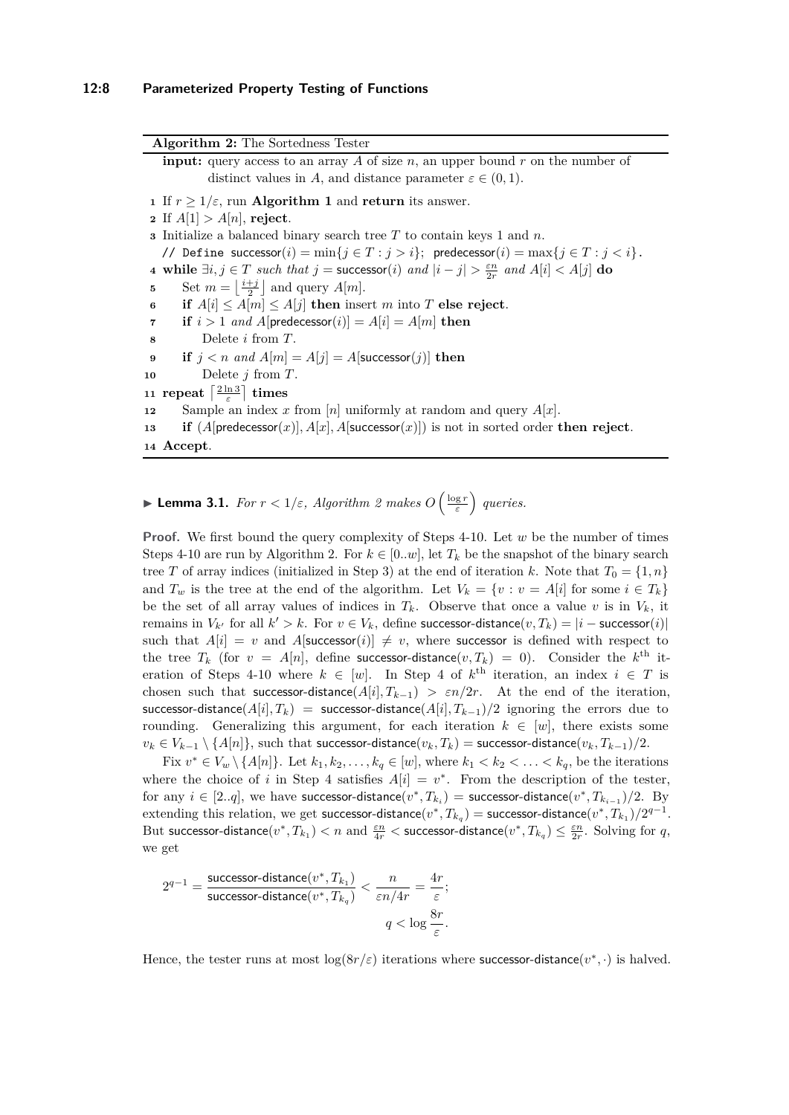<span id="page-7-7"></span><span id="page-7-4"></span><span id="page-7-2"></span><span id="page-7-0"></span>**Algorithm 2:** The Sortedness Tester **input:** query access to an array *A* of size *n*, an upper bound *r* on the number of distinct values in *A*, and distance parameter  $\varepsilon \in (0,1)$ . If  $r \geq 1/\varepsilon$  $r \geq 1/\varepsilon$  $r \geq 1/\varepsilon$ , run **Algorithm 1** and **return** its answer. If  $A[1] > A[n]$ , reject. Initialize a balanced binary search tree *T* to contain keys 1 and *n*. // Define successor( $i$ ) = min{ $j \in T : j > i$ }; predecessor( $i$ ) = max{ $j \in T : j < i$ }. **while**  $\exists i, j \in T$  *such that*  $j =$  **successor**(*i*) *and*  $|i - j| > \frac{\varepsilon n}{2r}$  *and*  $A[i] < A[j]$  **do**  Set  $m = \left\lfloor \frac{i+j}{2} \right\rfloor$  and query  $A[m]$ . **if**  $A[i] \leq A[m] \leq A[j]$  **then** insert *m* into *T* **else reject**. **if**  $i > 1$  *and*  $A[$ predecessor $(i)$ ] =  $A[i] = A[m]$  **then**  Delete *i* from *T*. **if**  $j < n$  and  $A[m] = A[j] = A[\text{successor}(j)]$  **then**  Delete *j* from *T*.  $\frac{11}{2}$  **repeat**  $\left\lceil \frac{2 \ln 3}{\varepsilon} \right\rceil$  **times**  Sample an index *x* from [*n*] uniformly at random and query *A*[*x*]. **if** (*A*[predecessor(*x*)]*, A*[*x*]*, A*[successor(*x*)]) is not in sorted order **then reject**. **<sup>14</sup> Accept**.

<span id="page-7-9"></span><span id="page-7-8"></span><span id="page-7-6"></span><span id="page-7-5"></span><span id="page-7-3"></span><span id="page-7-1"></span>**Example 1.1.** *For*  $r < 1/\varepsilon$ , *Algorithm* [2](#page-7-0) *makes*  $O\left(\frac{\log r}{\varepsilon}\right)$  *queries.* 

**Proof.** We first bound the query complexity of Steps [4-](#page-7-2)[10.](#page-7-3) Let *w* be the number of times Steps [4-](#page-7-2)[10](#page-7-3) are run by Algorithm [2.](#page-7-0) For  $k \in [0..w]$ , let  $T_k$  be the snapshot of the binary search tree *T* of array indices (initialized in Step [3\)](#page-7-4) at the end of iteration *k*. Note that  $T_0 = \{1, n\}$ and  $T_w$  is the tree at the end of the algorithm. Let  $V_k = \{v : v = A[i] \text{ for some } i \in T_k\}$ be the set of all array values of indices in  $T_k$ . Observe that once a value  $v$  is in  $V_k$ , it remains in  $V_{k'}$  for all  $k' > k$ . For  $v \in V_k$ , define successor-distance $(v, T_k) = |i - \text{successor}(i)|$ such that  $A[i] = v$  and  $A[\text{successor}(i)] \neq v$ , where successor is defined with respect to the tree  $T_k$  (for  $v = A[n]$ , define successor-distance $(v, T_k) = 0$ ). Consider the  $k^{\text{th}}$  it-eration of Steps [4-](#page-7-2)[10](#page-7-3) where  $k \in [w]$ . In Step [4](#page-7-2) of  $k^{\text{th}}$  iteration, an index  $i \in T$  is chosen such that successor-distance( $A[i], T_{k-1}$ ) *>*  $\epsilon n/2r$ *.* At the end of the iteration, successor-distance( $A[i], T_k$ ) = successor-distance( $A[i], T_{k-1}$ )/2 ignoring the errors due to rounding. Generalizing this argument, for each iteration  $k \in [w]$ , there exists some *v*<sub>*k*</sub> ∈ *V*<sub>*k*−1</sub>  $\setminus$  {*A*[*n*]}, such that successor-distance(*v*<sub>*k*</sub>, *T*<sub>*k*</sub>) = successor-distance(*v*<sub>*k*</sub>, *T*<sub>*k*−1</sub>)/2.

Fix  $v^* \in V_w \setminus \{A[n]\}$ . Let  $k_1, k_2, \ldots, k_q \in [w]$ , where  $k_1 < k_2 < \ldots < k_q$ , be the iterations where the choice of *i* in Step [4](#page-7-2) satisfies  $A[i] = v^*$ . From the description of the tester, for any  $i \in [2..q]$ , we have successor-distance $(v^*, T_{k_i})$  = successor-distance $(v^*, T_{k_{i-1}})/2$ . By  $\text{extending this relation, we get successor-distance}(v^*, T_{k_q}) = \text{successor-distance}(v^*, T_{k_1})/2^{q-1}.$ But successor-distance $(v^*, T_{k_1}) < n$  and  $\frac{\varepsilon n}{4r} <$  successor-distance $(v^*, T_{k_q}) \leq \frac{\varepsilon n}{2r}$ . Solving for  $q,$ we get

$$
2^{q-1} = \frac{\text{successor-distance}(v^*, T_{k_1})}{\text{successor-distance}(v^*, T_{k_4})} < \frac{n}{\varepsilon n/4r} = \frac{4r}{\varepsilon};
$$
  

$$
q < \log \frac{8r}{\varepsilon}.
$$

Hence, the tester runs at most  $\log(8r/\varepsilon)$  iterations where successor-distance $(v^*, \cdot)$  is halved.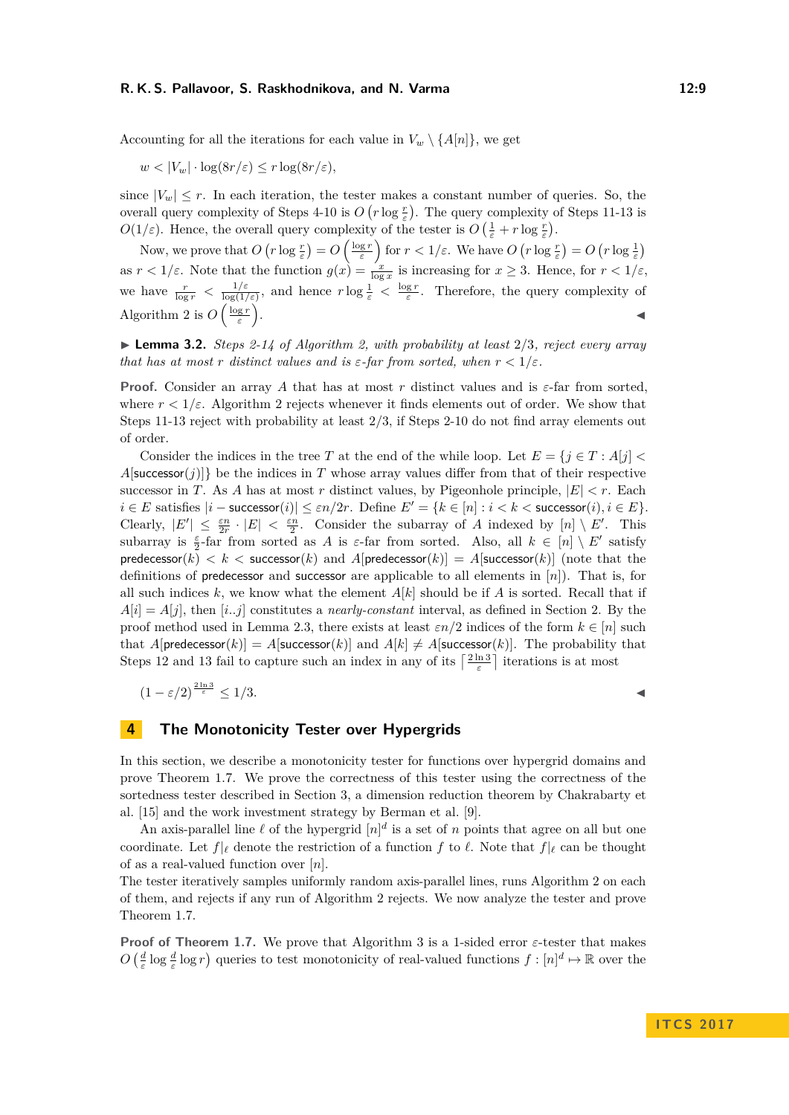Accounting for all the iterations for each value in  $V_w \setminus \{A[n]\}$ , we get

 $w < |V_w| \cdot \log(8r/\varepsilon) \le r \log(8r/\varepsilon)$ ,

since  $|V_w| \leq r$ . In each iteration, the tester makes a constant number of queries. So, the overall query complexity of Steps [4](#page-7-2)[-10](#page-7-3) is  $O(r \log \frac{r}{\varepsilon})$ . The query complexity of Steps [11-](#page-7-5)[13](#page-7-6) is *O*(1/ $\varepsilon$ ). Hence, the overall query complexity of the tester is  $O\left(\frac{1}{\varepsilon} + r \log \frac{r}{\varepsilon}\right)$ .

Now, we prove that  $O(r \log \frac{r}{\varepsilon}) = O\left(\frac{\log r}{\varepsilon}\right)$  for  $r < 1/\varepsilon$ . We have  $O(r \log \frac{r}{\varepsilon}) = O(r \log \frac{1}{\varepsilon})$ as  $r < 1/\varepsilon$ . Note that the function  $g(x) = \frac{x}{\log x}$  is increasing for  $x \ge 3$ . Hence, for  $r < 1/\varepsilon$ , we have  $\frac{r}{\log r} < \frac{1/\varepsilon}{\log(1/\varepsilon)}$  $\frac{1/\varepsilon}{\log(1/\varepsilon)}$ , and hence  $r \log \frac{1}{\varepsilon} < \frac{\log r}{\varepsilon}$ . Therefore, the query complexity of Algorithm [2](#page-7-0) is  $O\left(\frac{\log r}{\varepsilon}\right)$ . J

<span id="page-8-1"></span> $\blacktriangleright$  **Lemma 3.2.** *Steps* [2](#page-7-7)[-14](#page-7-8) of Algorithm [2,](#page-7-0) with probability at least 2/3, reject every array *that has at most r distinct values and is*  $\varepsilon$ -*far from sorted, when*  $r < 1/\varepsilon$ *.* 

**Proof.** Consider an array A that has at most r distinct values and is  $\varepsilon$ -far from sorted. where  $r < 1/\varepsilon$ . Algorithm [2](#page-7-0) rejects whenever it finds elements out of order. We show that Steps [11](#page-7-5)[-13](#page-7-6) reject with probability at least 2*/*3, if Steps [2](#page-7-7)[-10](#page-7-3) do not find array elements out of order.

Consider the indices in the tree *T* at the end of the while loop. Let  $E = \{j \in T : A[j] \leq \}$  $A$ [successor(*j*)]} be the indices in *T* whose array values differ from that of their respective successor in *T*. As *A* has at most *r* distinct values, by Pigeonhole principle,  $|E| < r$ . Each  $i \in E$  satisfies  $|i -$  successor $(i)| \leq \varepsilon n/2r$ . Define  $E' = \{k \in [n] : i < k <$  successor $(i), i \in E\}$ . Clearly,  $|E'| \leq \frac{\varepsilon n}{2r} \cdot |E| < \frac{\varepsilon n}{2}$ . Consider the subarray of *A* indexed by  $[n] \setminus E'$ . This subarray is  $\frac{\varepsilon}{2}$ -far from sorted as *A* is  $\varepsilon$ -far from sorted. Also, all  $k \in [n] \setminus E'$  satisfy  $predecessary(k) < k <$  successor(*k*) and  $A[predecessary(k)] = A[successor(k)]$  (note that the definitions of predecessor and successor are applicable to all elements in [*n*]). That is, for all such indices  $k$ , we know what the element  $A[k]$  should be if  $A$  is sorted. Recall that if  $A[i] = A[j]$ , then  $[i..j]$  constitutes a *nearly-constant* interval, as defined in Section [2.](#page-4-0) By the proof method used in Lemma [2.3,](#page-5-2) there exists at least  $\varepsilon n/2$  indices of the form  $k \in [n]$  such that *A*[predecessor(*k*)] = *A*[successor(*k*)] and *A*[*k*]  $\neq$  *A*[successor(*k*)]. The probability that Steps [12](#page-7-9) and [13](#page-7-6) fail to capture such an index in any of its  $\left\lceil \frac{2 \ln 3}{\varepsilon} \right\rceil$  iterations is at most

$$
(1 - \varepsilon/2)^{\frac{2\ln 3}{\varepsilon}} \le 1/3.
$$

# <span id="page-8-0"></span>**4 The Monotonicity Tester over Hypergrids**

In this section, we describe a monotonicity tester for functions over hypergrid domains and prove Theorem [1.7.](#page-3-2) We prove the correctness of this tester using the correctness of the sortedness tester described in Section [3,](#page-6-0) a dimension reduction theorem by Chakrabarty et al. [\[15\]](#page-15-11) and the work investment strategy by Berman et al. [\[9\]](#page-15-8).

An axis-parallel line  $\ell$  of the hypergrid  $[n]^d$  is a set of *n* points that agree on all but one coordinate. Let  $f|_{\ell}$  denote the restriction of a function  $f$  to  $\ell$ . Note that  $f|_{\ell}$  can be thought of as a real-valued function over [*n*].

The tester iteratively samples uniformly random axis-parallel lines, runs Algorithm [2](#page-7-0) on each of them, and rejects if any run of Algorithm [2](#page-7-0) rejects. We now analyze the tester and prove Theorem [1.7.](#page-3-2)

**Proof of Theorem [1.7.](#page-3-2)** We prove that Algorithm [3](#page-9-0) is a 1-sided error *ε*-tester that makes  $O\left(\frac{d}{\varepsilon} \log \frac{d}{\varepsilon} \log r\right)$  queries to test monotonicity of real-valued functions  $f: [n]^d \mapsto \mathbb{R}$  over the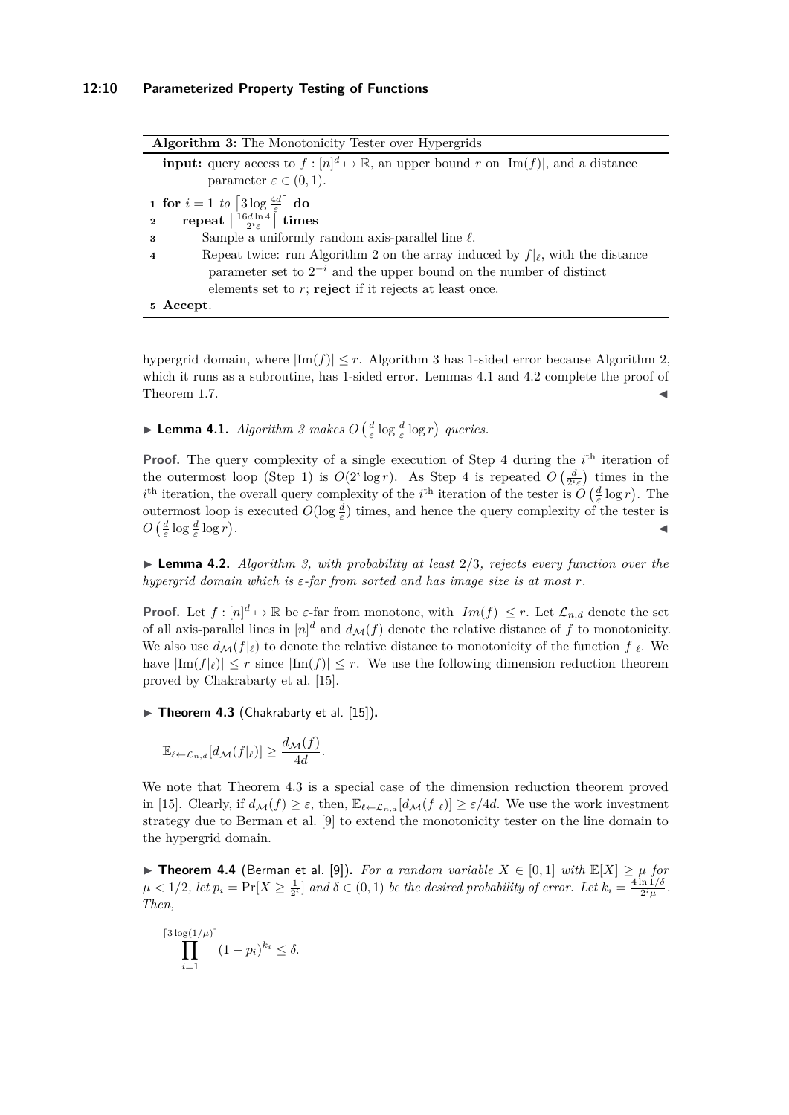<span id="page-9-7"></span><span id="page-9-4"></span><span id="page-9-0"></span>

| Algorithm 3: The Monotonicity Tester over Hypergrids                                                                |
|---------------------------------------------------------------------------------------------------------------------|
| <b>input:</b> query access to $f: [n]^d \mapsto \mathbb{R}$ , an upper bound r on $ \text{Im}(f) $ , and a distance |
| parameter $\varepsilon \in (0,1)$ .                                                                                 |
| <b>1 for</b> $i = 1$ to $\lceil 3 \log \frac{4d}{f} \rceil$ do                                                      |
| repeat $\left[\frac{16d\ln 4}{2i\epsilon}\right]$ times<br>$\overline{2}$                                           |
| Sample a uniformly random axis-parallel line $\ell$ .<br>$\boldsymbol{\mathcal{S}}$                                 |
| Repeat twice: run Algorithm 2 on the array induced by $f _{\ell}$ , with the distance<br>$\overline{4}$             |
| parameter set to $2^{-i}$ and the upper bound on the number of distinct                                             |
| elements set to $r$ ; reject if it rejects at least once.                                                           |
| 5 Accept.                                                                                                           |

<span id="page-9-3"></span>hypergrid domain, where  $|\text{Im}(f)| \leq r$ . Algorithm [3](#page-9-0) has 1-sided error because Algorithm [2,](#page-7-0) which it runs as a subroutine, has 1-sided error. Lemmas [4.1](#page-9-1) and [4.2](#page-9-2) complete the proof of Theorem [1.7.](#page-3-2)

<span id="page-9-1"></span>**Example 1.1.** *Algorithm* [3](#page-9-0) makes  $O\left(\frac{d}{\varepsilon} \log \frac{d}{\varepsilon} \log r\right)$  queries.

**Proof.** The query complexity of a single execution of Step [4](#page-9-3) during the  $i<sup>th</sup>$  iteration of the outermost loop (Step [1\)](#page-9-4) is  $O(2^i \log r)$ . As Step [4](#page-9-3) is repeated  $O(\frac{d}{2^i \varepsilon})$  times in the *i*<sup>th</sup> iteration, the overall query complexity of the *i*<sup>th</sup> iteration of the tester is  $O\left(\frac{d}{\varepsilon} \log r\right)$ . The outermost loop is executed  $O(\log \frac{d}{\varepsilon})$  times, and hence the query complexity of the tester is  $O\left(\frac{d}{\varepsilon}\log\frac{d}{\varepsilon}\log r\right)$ . January 1980, January 1980, January 1980, January 1980, January 1980, January 1980, January 1980, January 19<br>January 1980, January 1980, January 1980, January 1980, January 1980, January 1980, January 1980, January 1980

<span id="page-9-2"></span>I **Lemma 4.2.** *Algorithm [3,](#page-9-0) with probability at least* 2*/*3*, rejects every function over the hypergrid domain which is ε-far from sorted and has image size is at most r.*

**Proof.** Let  $f: [n]^d \mapsto \mathbb{R}$  be  $\varepsilon$ -far from monotone, with  $|Im(f)| \leq r$ . Let  $\mathcal{L}_{n,d}$  denote the set of all axis-parallel lines in  $[n]^d$  and  $d_M(f)$  denote the relative distance of f to monotonicity. We also use  $d_M(f|\ell)$  to denote the relative distance to monotonicity of the function  $f|\ell$ . We have  $|\text{Im}(f)| \leq r$  since  $|\text{Im}(f)| \leq r$ . We use the following dimension reduction theorem proved by Chakrabarty et al. [\[15\]](#page-15-11).

<span id="page-9-5"></span> $\triangleright$  **Theorem 4.3** (Chakrabarty et al. [\[15\]](#page-15-11)).

$$
\mathbb{E}_{\ell \leftarrow \mathcal{L}_{n,d}}[d_{\mathcal{M}}(f|_{\ell})] \geq \frac{d_{\mathcal{M}}(f)}{4d}.
$$

We note that Theorem [4.3](#page-9-5) is a special case of the dimension reduction theorem proved in [\[15\]](#page-15-11). Clearly, if  $d_M(f) \geq \varepsilon$ , then,  $\mathbb{E}_{\ell \leftarrow \mathcal{L}_n}$   $d_M(f|_{\ell}) \geq \varepsilon/4d$ . We use the work investment strategy due to Berman et al. [\[9\]](#page-15-8) to extend the monotonicity tester on the line domain to the hypergrid domain.

<span id="page-9-6"></span>▶ **Theorem 4.4** (Berman et al. [\[9\]](#page-15-8)). *For a random variable*  $X \in [0,1]$  *with*  $\mathbb{E}[X] \geq \mu$  *for*  $\mu < 1/2$ , let  $p_i = \Pr[X \geq \frac{1}{2^i}]$  and  $\delta \in (0,1)$  be the desired probability of error. Let  $k_i = \frac{4 \ln 1/\delta}{2^i \mu}$  $\frac{\ln 1/\sigma}{2^i \mu}$ . *Then,*

$$
\prod_{i=1}^{\lceil 3\log(1/\mu)\rceil} (1-p_i)^{k_i} \le \delta.
$$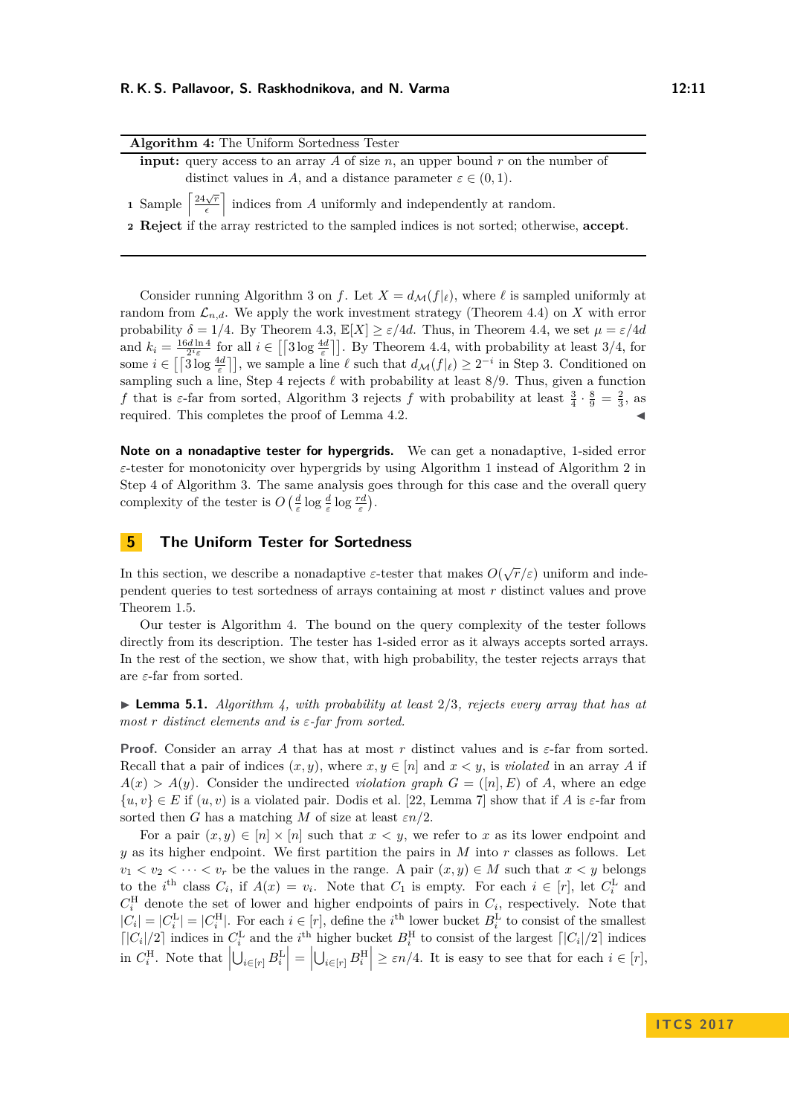<span id="page-10-1"></span>

| <b>Algorithm 4:</b> The Uniform Sortedness Tester                                                                                                                                                                                 |
|-----------------------------------------------------------------------------------------------------------------------------------------------------------------------------------------------------------------------------------|
| <b>input:</b> query access to an array A of size $n$ , an upper bound $r$ on the number of                                                                                                                                        |
| distinct values in A, and a distance parameter $\varepsilon \in (0,1)$ .                                                                                                                                                          |
| 1 Sample $\left\lceil \frac{24\sqrt{r}}{\epsilon} \right\rceil$ indices from A uniformly and independently at random.<br><b>2 Reject</b> if the array restricted to the sampled indices is not sorted; otherwise, <b>accept</b> . |

Consider running Algorithm [3](#page-9-0) on *f*. Let  $X = d_{\mathcal{M}}(f|\ell)$ , where  $\ell$  is sampled uniformly at random from  $\mathcal{L}_{n,d}$ . We apply the work investment strategy (Theorem [4.4\)](#page-9-6) on *X* with error probability  $\delta = 1/4$ . By Theorem [4.3,](#page-9-5)  $\mathbb{E}[X] \geq \varepsilon/4d$ . Thus, in Theorem [4.4,](#page-9-6) we set  $\mu = \varepsilon/4d$ and  $k_i = \frac{16d \ln 4}{2^i \varepsilon}$  for all  $i \in [\frac{3 \log \frac{4d}{\varepsilon}}{2}]$ . By Theorem [4.4,](#page-9-6) with probability at least 3/4, for some  $i \in [\lceil 3 \log \frac{4d}{\varepsilon} \rceil]$ , we sample a line  $\ell$  such that  $d_{\mathcal{M}}(f|\ell) \geq 2^{-i}$  in Step [3.](#page-9-7) Conditioned on sampling such a line, Step [4](#page-9-3) rejects  $\ell$  with probability at least 8/9. Thus, given a function *f* that is  $\varepsilon$ -far from sorted, Algorithm [3](#page-9-0) rejects *f* with probability at least  $\frac{3}{4} \cdot \frac{8}{9} = \frac{2}{3}$ , as required. This completes the proof of Lemma [4.2.](#page-9-2)

**Note on a nonadaptive tester for hypergrids.** We can get a nonadaptive, 1-sided error *ε*-tester for monotonicity over hypergrids by using Algorithm [1](#page-5-0) instead of Algorithm [2](#page-7-0) in Step [4](#page-9-3) of Algorithm [3.](#page-9-0) The same analysis goes through for this case and the overall query complexity of the tester is  $O\left(\frac{d}{\varepsilon} \log \frac{d}{\varepsilon} \log \frac{rd}{\varepsilon}\right)$ .

# <span id="page-10-0"></span>**5 The Uniform Tester for Sortedness**

In this section, we describe a nonadaptive  $\varepsilon$ -tester that makes  $O(\sqrt{r}/\varepsilon)$  uniform and independent queries to test sortedness of arrays containing at most *r* distinct values and prove Theorem [1.5.](#page-3-3)

Our tester is Algorithm [4.](#page-10-1) The bound on the query complexity of the tester follows directly from its description. The tester has 1-sided error as it always accepts sorted arrays. In the rest of the section, we show that, with high probability, the tester rejects arrays that are *ε*-far from sorted.

 $\triangleright$  **Lemma 5.1.** *Algorithm [4,](#page-10-1) with probability at least* 2/3*, rejects every array that has at most r distinct elements and is ε-far from sorted.*

**Proof.** Consider an array *A* that has at most *r* distinct values and is *ε*-far from sorted. Recall that a pair of indices  $(x, y)$ , where  $x, y \in [n]$  and  $x < y$ , is *violated* in an array *A* if  $A(x) > A(y)$ . Consider the undirected *violation graph*  $G = ([n], E)$  of *A*, where an edge  $\{u, v\} \in E$  if  $(u, v)$  is a violated pair. Dodis et al. [\[22,](#page-15-0) Lemma 7] show that if *A* is *ε*-far from sorted then *G* has a matching *M* of size at least  $\epsilon n/2$ .

For a pair  $(x, y) \in [n] \times [n]$  such that  $x < y$ , we refer to x as its lower endpoint and *y* as its higher endpoint. We first partition the pairs in *M* into *r* classes as follows. Let  $v_1 < v_2 < \cdots < v_r$  be the values in the range. A pair  $(x, y) \in M$  such that  $x < y$  belongs to the *i*<sup>th</sup> class  $C_i$ , if  $A(x) = v_i$ . Note that  $C_1$  is empty. For each  $i \in [r]$ , let  $C_i^L$  and  $C_i^{\text{H}}$  denote the set of lower and higher endpoints of pairs in  $C_i$ , respectively. Note that  $|C_i| = |C_i^{\text{L}}| = |C_i^{\text{H}}|$ . For each  $i \in [r]$ , define the *i*<sup>th</sup> lower bucket  $B_i^{\text{L}}$  to consist of the smallest  $\lceil |C_i|/2 \rceil$  indices in  $C_i^L$  and the *i*<sup>th</sup> higher bucket  $B_i^H$  to consist of the largest  $\lceil |C_i|/2 \rceil$  indices in  $C_i^{\text{H}}$ . Note that  $\left| \bigcup_{i \in [r]} B_i^{\text{L}} \right| = \left| \bigcup_{i \in [r]} B_i^{\text{H}} \right| \ge \varepsilon n/4$ . It is easy to see that for each  $i \in [r]$ ,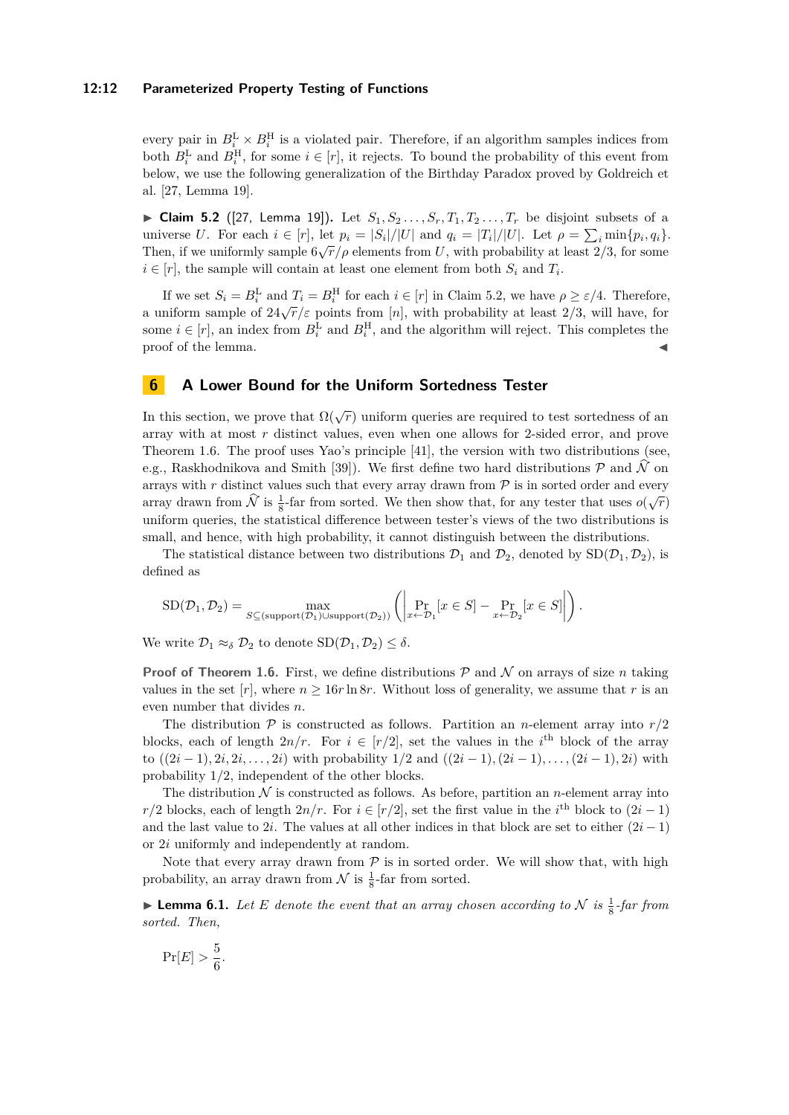#### **12:12 Parameterized Property Testing of Functions**

every pair in  $B_i^{\text{L}} \times B_i^{\text{H}}$  is a violated pair. Therefore, if an algorithm samples indices from both  $B_i^{\text{L}}$  and  $B_i^{\text{H}}$ , for some  $i \in [r]$ , it rejects. To bound the probability of this event from below, we use the following generalization of the Birthday Paradox proved by Goldreich et al. [\[27,](#page-16-3) Lemma 19].

<span id="page-11-1"></span>► Claim 5.2 ([\[27,](#page-16-3) Lemma 19]). Let  $S_1, S_2, \ldots, S_r, T_1, T_2, \ldots, T_r$  be disjoint subsets of a universe U. For each  $i \in [r]$ , let  $p_i = |S_i|/|U|$  and  $q_i = |T_i|/|U|$ . Let  $\rho = \sum_i \min\{p_i, q_i\}$ . Then, if we uniformly sample  $6\sqrt{r}/\rho$  elements from U, with probability at least  $2/3$ , for some  $i \in [r]$ , the sample will contain at least one element from both  $S_i$  and  $T_i$ .

If we set  $S_i = B_i^{\text{L}}$  and  $T_i = B_i^{\text{H}}$  for each  $i \in [r]$  in Claim [5.2,](#page-11-1) we have  $\rho \ge \varepsilon/4$ . Therefore, a uniform sample of  $24\sqrt{r}/\varepsilon$  points from [*n*], with probability at least 2/3, will have, for some  $i \in [r]$ , an index from  $B_i^{\text{L}}$  and  $B_i^{\text{H}}$ , and the algorithm will reject. This completes the proof of the lemma.

# <span id="page-11-0"></span>**6 A Lower Bound for the Uniform Sortedness Tester**

In this section, we prove that  $\Omega(\sqrt{r})$  uniform queries are required to test sortedness of an array with at most *r* distinct values, even when one allows for 2-sided error, and prove Theorem [1.6.](#page-3-4) The proof uses Yao's principle [\[41\]](#page-16-15), the version with two distributions (see, e.g., Raskhodnikova and Smith [\[39\]](#page-16-16)). We first define two hard distributions  $P$  and  $N$  on arrays with  $r$  distinct values such that every array drawn from  $\mathcal P$  is in sorted order and every array drawn from  $\hat{N}$  is  $\frac{1}{8}$ -far from sorted. We then show that, for any tester that uses  $o(\sqrt{r})$ uniform queries, the statistical difference between tester's views of the two distributions is small, and hence, with high probability, it cannot distinguish between the distributions.

The statistical distance between two distributions  $\mathcal{D}_1$  and  $\mathcal{D}_2$ , denoted by  $SD(\mathcal{D}_1, \mathcal{D}_2)$ , is defined as

$$
SD(\mathcal{D}_1, \mathcal{D}_2) = \max_{S \subseteq (\text{support}(\mathcal{D}_1) \cup \text{support}(\mathcal{D}_2))} \left( \left| \Pr_{x \leftarrow \mathcal{D}_1} [x \in S] - \Pr_{x \leftarrow \mathcal{D}_2} [x \in S] \right| \right) \right).
$$

We write  $\mathcal{D}_1 \approx_{\delta} \mathcal{D}_2$  to denote  $SD(\mathcal{D}_1, \mathcal{D}_2) \leq \delta$ .

**Proof of Theorem [1.6.](#page-3-4)** First, we define distributions  $P$  and  $N$  on arrays of size  $n$  taking values in the set  $[r]$ , where  $n \geq 16r \ln 8r$ . Without loss of generality, we assume that r is an even number that divides *n*.

The distribution  $P$  is constructed as follows. Partition an *n*-element array into  $r/2$ blocks, each of length  $2n/r$ . For  $i \in [r/2]$ , set the values in the *i*<sup>th</sup> block of the array to  $((2i-1), 2i, 2i, \ldots, 2i)$  with probability  $1/2$  and  $((2i-1), (2i-1), \ldots, (2i-1), 2i)$  with probability 1*/*2, independent of the other blocks.

The distribution  $N$  is constructed as follows. As before, partition an *n*-element array into *r/*2 blocks, each of length  $2n/r$ . For  $i \in [r/2]$ , set the first value in the *i*<sup>th</sup> block to  $(2i-1)$ and the last value to 2*i*. The values at all other indices in that block are set to either  $(2i - 1)$ or 2*i* uniformly and independently at random.

Note that every array drawn from  $P$  is in sorted order. We will show that, with high probability, an array drawn from  $\mathcal N$  is  $\frac{1}{8}$ -far from sorted.

**Example 10 Lemma 6.1.** Let E denote the event that an array chosen according to N is  $\frac{1}{8}$ -far from *sorted. Then,*

$$
\Pr[E] > \frac{5}{6}.
$$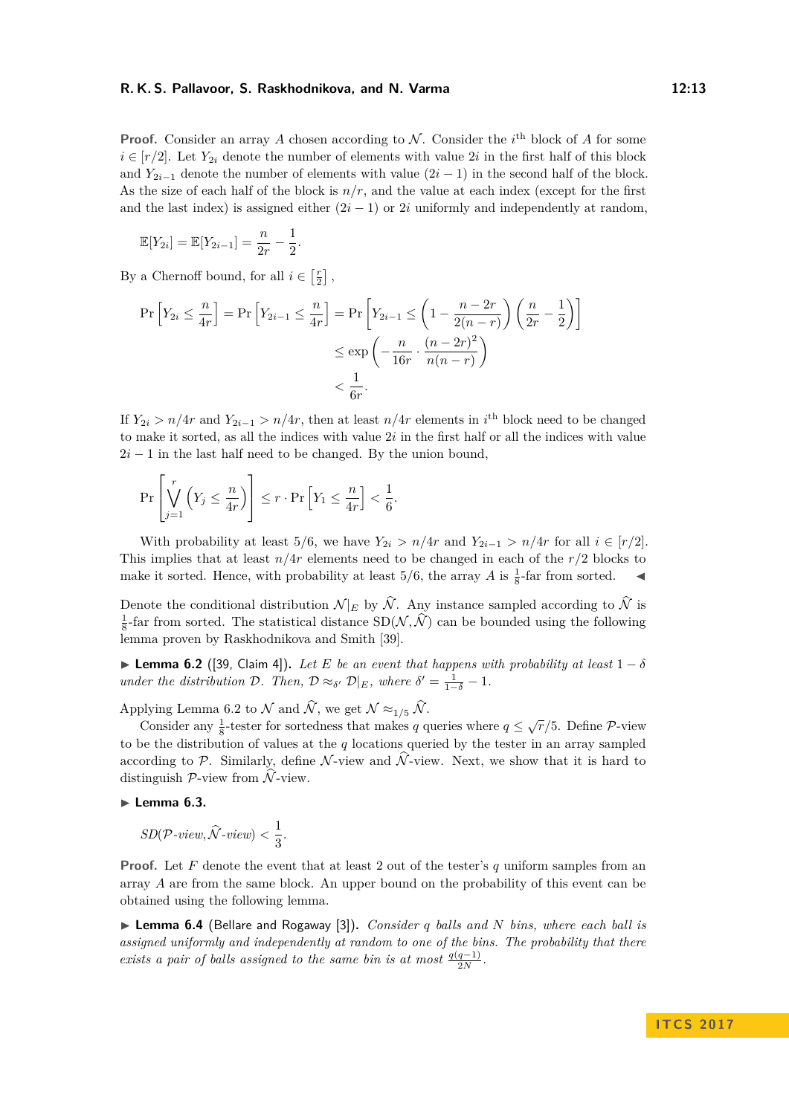**Proof.** Consider an array A chosen according to N. Consider the  $i^{\text{th}}$  block of A for some  $i \in [r/2]$ . Let  $Y_{2i}$  denote the number of elements with value 2*i* in the first half of this block and  $Y_{2i-1}$  denote the number of elements with value  $(2i-1)$  in the second half of the block. As the size of each half of the block is  $n/r$ , and the value at each index (except for the first and the last index) is assigned either  $(2i - 1)$  or 2*i* uniformly and independently at random,

$$
\mathbb{E}[Y_{2i}] = \mathbb{E}[Y_{2i-1}] = \frac{n}{2r} - \frac{1}{2}.
$$

By a Chernoff bound, for all  $i \in \left[\frac{r}{2}\right]$ ,

$$
\Pr\left[Y_{2i} \le \frac{n}{4r}\right] = \Pr\left[Y_{2i-1} \le \frac{n}{4r}\right] = \Pr\left[Y_{2i-1} \le \left(1 - \frac{n-2r}{2(n-r)}\right)\left(\frac{n}{2r} - \frac{1}{2}\right)\right]
$$

$$
\le \exp\left(-\frac{n}{16r} \cdot \frac{(n-2r)^2}{n(n-r)}\right)
$$

$$
< \frac{1}{6r}.
$$

If  $Y_{2i} > n/4r$  and  $Y_{2i-1} > n/4r$ , then at least  $n/4r$  elements in *i*<sup>th</sup> block need to be changed to make it sorted, as all the indices with value 2*i* in the first half or all the indices with value  $2i - 1$  in the last half need to be changed. By the union bound,

$$
\Pr\left[\bigvee_{j=1}^r \left(Y_j \leq \frac{n}{4r}\right)\right] \leq r \cdot \Pr\left[Y_1 \leq \frac{n}{4r}\right] < \frac{1}{6}.
$$

With probability at least 5/6, we have  $Y_{2i} > n/4r$  and  $Y_{2i-1} > n/4r$  for all  $i \in [r/2]$ . This implies that at least  $n/4r$  elements need to be changed in each of the  $r/2$  blocks to make it sorted. Hence, with probability at least  $5/6$ , the array *A* is  $\frac{1}{8}$ -far from sorted.

Denote the conditional distribution  $\mathcal{N}|_E$  by  $\widehat{\mathcal{N}}$ . Any instance sampled according to  $\widehat{\mathcal{N}}$  is  $\frac{1}{8}$ -far from sorted. The statistical distance  $SD(\mathcal{N}, \hat{\mathcal{N}})$  can be bounded using the following lemma proven by Raskhodnikova and Smith [\[39\]](#page-16-16).

<span id="page-12-0"></span>**Lemma 6.2** ([\[39,](#page-16-16) Claim 4]). Let *E* be an event that happens with probability at least  $1 - \delta$ *under the distribution*  $\mathcal{D}$ *. Then,*  $\mathcal{D} \approx_{\delta'} \mathcal{D}|_E$ *, where*  $\delta' = \frac{1}{1-\delta} - 1$ *.* 

Applying Lemma [6.2](#page-12-0) to  $\mathcal N$  and  $\widehat{\mathcal N}$ , we get  $\mathcal N \approx_{1/5} \widehat{\mathcal N}$ .

Consider any  $\frac{1}{8}$ -tester for sortedness that makes *q* queries where  $q \leq \sqrt{r}/5$ . Define *P*-view to be the distribution of values at the *q* locations queried by the tester in an array sampled according to P. Similarly, define N-view and  $\hat{N}$ -view. Next, we show that it is hard to distinguish  $\mathcal{P}\text{-view from }\hat{\mathcal{N}}\text{-view.}$ 

# <span id="page-12-2"></span>► Lemma 6.3.

 $SD(\mathcal{P}\text{-}view, \widehat{\mathcal{N}}\text{-}view) < \frac{1}{3}$  $\frac{1}{3}$ .

**Proof.** Let *F* denote the event that at least 2 out of the tester's *q* uniform samples from an array *A* are from the same block. An upper bound on the probability of this event can be obtained using the following lemma.

<span id="page-12-1"></span>▶ **Lemma 6.4** (Bellare and Rogaway [\[3\]](#page-14-6)). *Consider q balls and N bins, where each ball is assigned uniformly and independently at random to one of the bins. The probability that there exists a pair of balls assigned to the same bin is at most*  $\frac{q(q-1)}{2N}$ .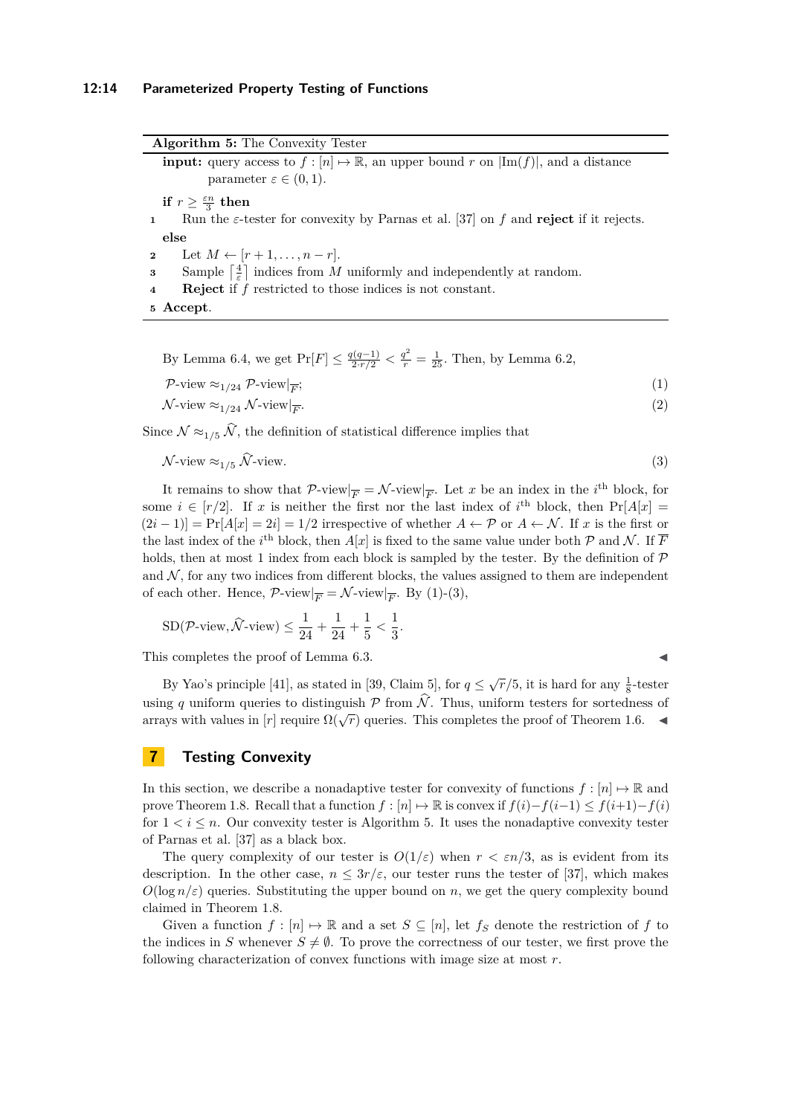**Algorithm 5:** The Convexity Tester

<span id="page-13-3"></span>**input:** query access to  $f : [n] \mapsto \mathbb{R}$ , an upper bound  $r$  on  $|\text{Im}(f)|$ , and a distance parameter  $\varepsilon \in (0,1)$ .

**if**  $r \geq \frac{\varepsilon n}{3}$  **then** 

**<sup>1</sup>** Run the *ε*-tester for convexity by Parnas et al. [\[37\]](#page-16-11) on *f* and **reject** if it rejects. **else**

**2** Let  $M \leftarrow [r+1, ..., n-r].$ 

**3** Sample  $\left\lceil \frac{4}{\varepsilon} \right\rceil$  indices from *M* uniformly and independently at random.

**<sup>4</sup> Reject** if *f* restricted to those indices is not constant.

**<sup>5</sup> Accept**.

By Lemma [6.4,](#page-12-1) we get  $Pr[F] \le \frac{q(q-1)}{2 \cdot r/2} < \frac{q^2}{r} = \frac{1}{25}$ . Then, by Lemma [6.2,](#page-12-0)

<span id="page-13-1"></span>
$$
\mathcal{P}\text{-view} \approx_{1/24} \mathcal{P}\text{-view}|_{\overline{F}};
$$
\n<sup>(1)</sup>

 $\mathcal{N}\text{-view} \approx_{1/24} \mathcal{N}\text{-view}|_{\overline{F}}.$ *.* (2)

Since  $\mathcal{N} \approx_{1/5} \widehat{\mathcal{N}}$ , the definition of statistical difference implies that

$$
\mathcal{N}\text{-view} \approx_{1/5} \widehat{\mathcal{N}}\text{-view.} \tag{3}
$$

It remains to show that  $\mathcal{P}\text{-view}|_{\overline{F}} = \mathcal{N}\text{-view}|_{\overline{F}}$ . Let *x* be an index in the *i*<sup>th</sup> block, for some  $i \in [r/2]$ . If *x* is neither the first nor the last index of *i*<sup>th</sup> block, then  $Pr[A|x] =$  $(2i-1)$ ] = Pr[*A*[*x*] = 2*i*] = 1/2 irrespective of whether  $A \leftarrow \mathcal{P}$  or  $A \leftarrow \mathcal{N}$ . If *x* is the first or the last index of the *i*<sup>th</sup> block, then  $A[x]$  is fixed to the same value under both  $P$  and  $N$ . If  $\overline{F}$ holds, then at most 1 index from each block is sampled by the tester. By the definition of  $\mathcal P$ and  $N$ , for any two indices from different blocks, the values assigned to them are independent of each other. Hence,  $\mathcal{P}\text{-view}|_{\overline{F}} = \mathcal{N}\text{-view}|_{\overline{F}}$ . By [\(1\)](#page-13-1)-[\(3\)](#page-13-2),

$$
SD(\mathcal{P}\text{-view}, \hat{\mathcal{N}}\text{-view}) \le \frac{1}{24} + \frac{1}{24} + \frac{1}{5} < \frac{1}{3}
$$

This completes the proof of Lemma [6.3.](#page-12-2)

By Yao's principle [\[41\]](#page-16-15), as stated in [\[39,](#page-16-16) Claim 5], for  $q \leq \sqrt{r}/5$ , it is hard for any  $\frac{1}{8}$ -tester using q uniform queries to distinguish  $P$  from  $\hat{N}$ . Thus, uniform testers for sortedness of arrays with values in  $[r]$  require  $\Omega(\sqrt{r})$  queries. This completes the proof of Theorem [1.6.](#page-3-4)

<span id="page-13-2"></span>*.*

# <span id="page-13-0"></span>**7 Testing Convexity**

In this section, we describe a nonadaptive tester for convexity of functions  $f : [n] \rightarrow \mathbb{R}$  and prove Theorem [1.8.](#page-4-2) Recall that a function  $f : [n] \rightarrow \mathbb{R}$  is convex if  $f(i) - f(i-1) \leq f(i+1) - f(i)$ for  $1 < i \leq n$ . Our convexity tester is Algorithm [5.](#page-13-3) It uses the nonadaptive convexity tester of Parnas et al. [\[37\]](#page-16-11) as a black box.

The query complexity of our tester is  $O(1/\varepsilon)$  when  $r < \varepsilon n/3$ , as is evident from its description. In the other case,  $n \leq 3r/\varepsilon$ , our tester runs the tester of [\[37\]](#page-16-11), which makes  $O(\log n/\varepsilon)$  queries. Substituting the upper bound on *n*, we get the query complexity bound claimed in Theorem [1.8.](#page-4-2)

Given a function  $f : [n] \to \mathbb{R}$  and a set  $S \subseteq [n]$ , let  $f_S$  denote the restriction of  $f$  to the indices in *S* whenever  $S \neq \emptyset$ . To prove the correctness of our tester, we first prove the following characterization of convex functions with image size at most *r*.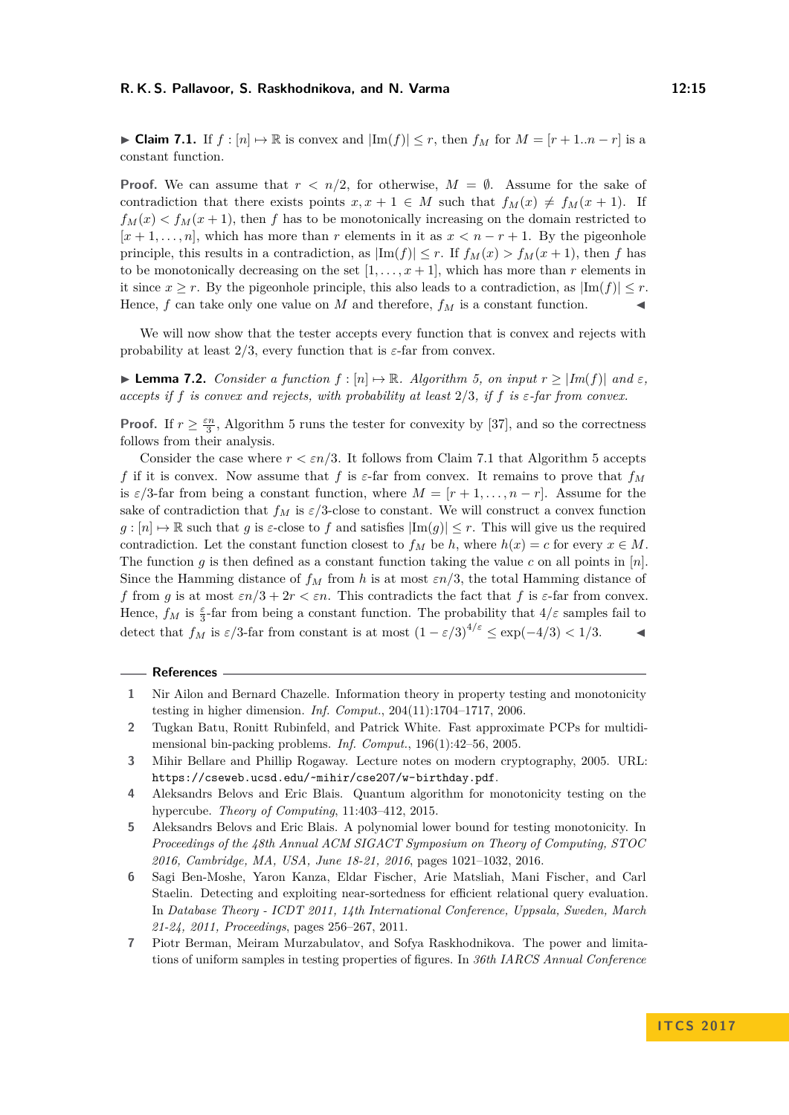<span id="page-14-7"></span>► Claim 7.1. If  $f : [n] \mapsto \mathbb{R}$  is convex and  $|\text{Im}(f)| \leq r$ , then  $f_M$  for  $M = [r + 1..n - r]$  is a constant function.

**Proof.** We can assume that  $r < n/2$ , for otherwise,  $M = \emptyset$ . Assume for the sake of contradiction that there exists points  $x, x + 1 \in M$  such that  $f_M(x) \neq f_M(x + 1)$ . If  $f_M(x) < f_M(x+1)$ , then *f* has to be monotonically increasing on the domain restricted to  $[x + 1, \ldots, n]$ , which has more than *r* elements in it as  $x < n - r + 1$ . By the pigeonhole principle, this results in a contradiction, as  $|\text{Im}(f)| \leq r$ . If  $f_M(x) > f_M(x+1)$ , then *f* has to be monotonically decreasing on the set  $[1, \ldots, x+1]$ , which has more than *r* elements in it since  $x \geq r$ . By the pigeonhole principle, this also leads to a contradiction, as  $|\text{Im}(f)| \leq r$ . Hence,  $f$  can take only one value on  $M$  and therefore,  $f_M$  is a constant function.

We will now show that the tester accepts every function that is convex and rejects with probability at least  $2/3$ , every function that is  $\varepsilon$ -far from convex.

 $\blacktriangleright$  **Lemma 7.2.** *Consider a function*  $f$  : [*n*]  $\mapsto \mathbb{R}$ *. Algorithm [5,](#page-13-3) on input*  $r ≥ |Im(f)|$  *and*  $\varepsilon$ *, accepts if*  $f$  *is convex and rejects, with probability at least*  $2/3$ *, if*  $f$  *is*  $\varepsilon$ *-far from convex.* 

**Proof.** If  $r \geq \frac{\varepsilon n}{3}$ , Algorithm [5](#page-13-3) runs the tester for convexity by [\[37\]](#page-16-11), and so the correctness follows from their analysis.

Consider the case where  $r < \varepsilon n/3$ . It follows from Claim [7.1](#page-14-7) that Algorithm [5](#page-13-3) accepts *f* if it is convex. Now assume that *f* is  $\varepsilon$ -far from convex. It remains to prove that  $f_M$ is  $\varepsilon/3$ -far from being a constant function, where  $M = [r + 1, \ldots, n - r]$ . Assume for the sake of contradiction that  $f_M$  is  $\varepsilon/3$ -close to constant. We will construct a convex function  $g: [n] \to \mathbb{R}$  such that *g* is  $\varepsilon$ -close to *f* and satisfies  $|\text{Im}(g)| \leq r$ . This will give us the required contradiction. Let the constant function closest to  $f_M$  be  $h$ , where  $h(x) = c$  for every  $x \in M$ . The function *g* is then defined as a constant function taking the value *c* on all points in  $[n]$ . Since the Hamming distance of  $f_M$  from *h* is at most  $\epsilon n/3$ , the total Hamming distance of *f* from *g* is at most  $\epsilon n/3 + 2r < \epsilon n$ . This contradicts the fact that *f* is  $\epsilon$ -far from convex. Hence,  $f_M$  is  $\frac{\varepsilon}{3}$ -far from being a constant function. The probability that  $4/\varepsilon$  samples fail to detect that  $f_M$  is  $\varepsilon/3$ -far from constant is at most  $(1 - \varepsilon/3)^{4/\varepsilon} \leq \exp(-4/3) < 1/3$ .

#### **References**

- <span id="page-14-0"></span>**1** Nir Ailon and Bernard Chazelle. Information theory in property testing and monotonicity testing in higher dimension. *Inf. Comput.*, 204(11):1704–1717, 2006.
- <span id="page-14-1"></span>**2** Tugkan Batu, Ronitt Rubinfeld, and Patrick White. Fast approximate PCPs for multidimensional bin-packing problems. *Inf. Comput.*, 196(1):42–56, 2005.
- <span id="page-14-6"></span>**3** Mihir Bellare and Phillip Rogaway. Lecture notes on modern cryptography, 2005. URL: <https://cseweb.ucsd.edu/~mihir/cse207/w-birthday.pdf>.
- <span id="page-14-2"></span>**4** Aleksandrs Belovs and Eric Blais. Quantum algorithm for monotonicity testing on the hypercube. *Theory of Computing*, 11:403–412, 2015.
- <span id="page-14-3"></span>**5** Aleksandrs Belovs and Eric Blais. A polynomial lower bound for testing monotonicity. In *Proceedings of the 48th Annual ACM SIGACT Symposium on Theory of Computing, STOC 2016, Cambridge, MA, USA, June 18-21, 2016*, pages 1021–1032, 2016.
- <span id="page-14-4"></span>**6** Sagi Ben-Moshe, Yaron Kanza, Eldar Fischer, Arie Matsliah, Mani Fischer, and Carl Staelin. Detecting and exploiting near-sortedness for efficient relational query evaluation. In *Database Theory - ICDT 2011, 14th International Conference, Uppsala, Sweden, March 21-24, 2011, Proceedings*, pages 256–267, 2011.
- <span id="page-14-5"></span>**7** Piotr Berman, Meiram Murzabulatov, and Sofya Raskhodnikova. The power and limitations of uniform samples in testing properties of figures. In *36th IARCS Annual Conference*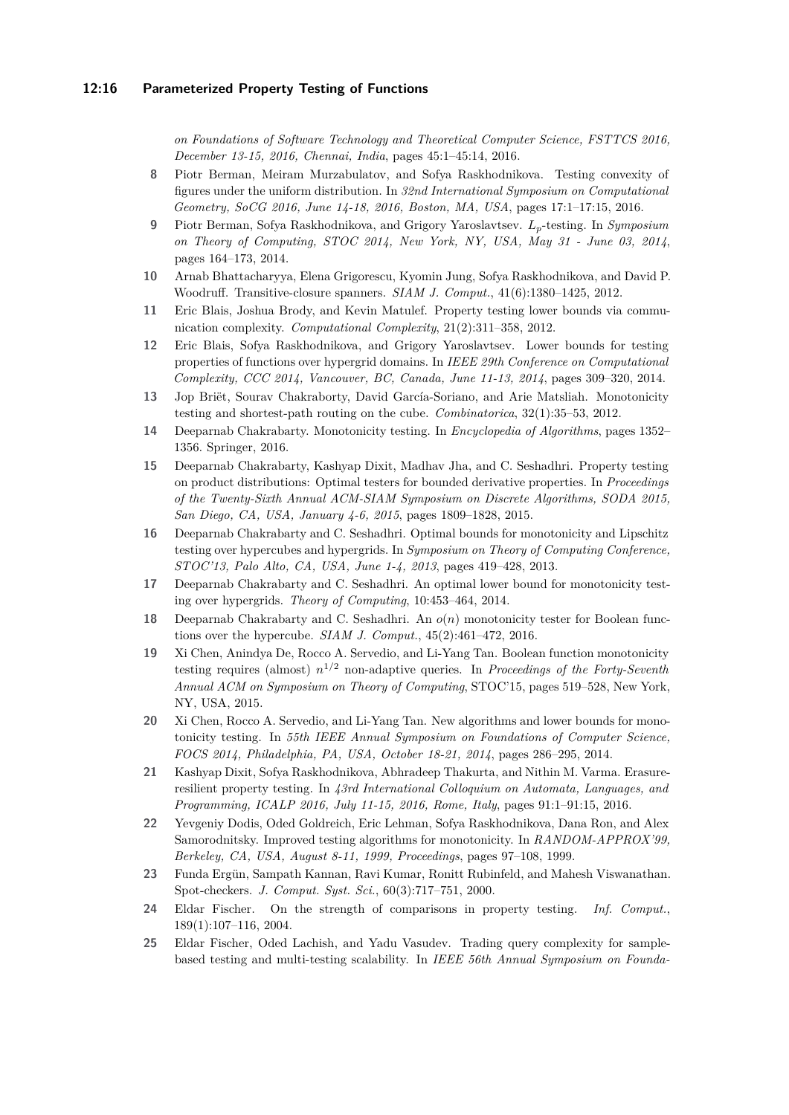#### **12:16 Parameterized Property Testing of Functions**

*on Foundations of Software Technology and Theoretical Computer Science, FSTTCS 2016, December 13-15, 2016, Chennai, India*, pages 45:1–45:14, 2016.

- <span id="page-15-17"></span>**8** Piotr Berman, Meiram Murzabulatov, and Sofya Raskhodnikova. Testing convexity of figures under the uniform distribution. In *32nd International Symposium on Computational Geometry, SoCG 2016, June 14-18, 2016, Boston, MA, USA*, pages 17:1–17:15, 2016.
- <span id="page-15-8"></span>**9** Piotr Berman, Sofya Raskhodnikova, and Grigory Yaroslavtsev. *Lp*-testing. In *Symposium on Theory of Computing, STOC 2014, New York, NY, USA, May 31 - June 03, 2014*, pages 164–173, 2014.
- <span id="page-15-4"></span>**10** Arnab Bhattacharyya, Elena Grigorescu, Kyomin Jung, Sofya Raskhodnikova, and David P. Woodruff. Transitive-closure spanners. *SIAM J. Comput.*, 41(6):1380–1425, 2012.
- <span id="page-15-3"></span>**11** Eric Blais, Joshua Brody, and Kevin Matulef. Property testing lower bounds via communication complexity. *Computational Complexity*, 21(2):311–358, 2012.
- <span id="page-15-7"></span>**12** Eric Blais, Sofya Raskhodnikova, and Grigory Yaroslavtsev. Lower bounds for testing properties of functions over hypergrid domains. In *IEEE 29th Conference on Computational Complexity, CCC 2014, Vancouver, BC, Canada, June 11-13, 2014*, pages 309–320, 2014.
- <span id="page-15-5"></span>**13** Jop Briët, Sourav Chakraborty, David García-Soriano, and Arie Matsliah. Monotonicity testing and shortest-path routing on the cube. *Combinatorica*, 32(1):35–53, 2012.
- <span id="page-15-15"></span>**14** Deeparnab Chakrabarty. Monotonicity testing. In *Encyclopedia of Algorithms*, pages 1352– 1356. Springer, 2016.
- <span id="page-15-11"></span>**15** Deeparnab Chakrabarty, Kashyap Dixit, Madhav Jha, and C. Seshadhri. Property testing on product distributions: Optimal testers for bounded derivative properties. In *Proceedings of the Twenty-Sixth Annual ACM-SIAM Symposium on Discrete Algorithms, SODA 2015, San Diego, CA, USA, January 4-6, 2015*, pages 1809–1828, 2015.
- <span id="page-15-6"></span>**16** Deeparnab Chakrabarty and C. Seshadhri. Optimal bounds for monotonicity and Lipschitz testing over hypercubes and hypergrids. In *Symposium on Theory of Computing Conference, STOC'13, Palo Alto, CA, USA, June 1-4, 2013*, pages 419–428, 2013.
- <span id="page-15-9"></span>**17** Deeparnab Chakrabarty and C. Seshadhri. An optimal lower bound for monotonicity testing over hypergrids. *Theory of Computing*, 10:453–464, 2014.
- <span id="page-15-10"></span>**18** Deeparnab Chakrabarty and C. Seshadhri. An *o*(*n*) monotonicity tester for Boolean functions over the hypercube. *SIAM J. Comput.*, 45(2):461–472, 2016.
- <span id="page-15-13"></span>**19** Xi Chen, Anindya De, Rocco A. Servedio, and Li-Yang Tan. Boolean function monotonicity testing requires (almost) *n* <sup>1</sup>*/*<sup>2</sup> non-adaptive queries. In *Proceedings of the Forty-Seventh Annual ACM on Symposium on Theory of Computing*, STOC'15, pages 519–528, New York, NY, USA, 2015.
- <span id="page-15-12"></span>**20** Xi Chen, Rocco A. Servedio, and Li-Yang Tan. New algorithms and lower bounds for monotonicity testing. In *55th IEEE Annual Symposium on Foundations of Computer Science, FOCS 2014, Philadelphia, PA, USA, October 18-21, 2014*, pages 286–295, 2014.
- <span id="page-15-14"></span>**21** Kashyap Dixit, Sofya Raskhodnikova, Abhradeep Thakurta, and Nithin M. Varma. Erasureresilient property testing. In *43rd International Colloquium on Automata, Languages, and Programming, ICALP 2016, July 11-15, 2016, Rome, Italy*, pages 91:1–91:15, 2016.
- <span id="page-15-0"></span>**22** Yevgeniy Dodis, Oded Goldreich, Eric Lehman, Sofya Raskhodnikova, Dana Ron, and Alex Samorodnitsky. Improved testing algorithms for monotonicity. In *RANDOM-APPROX'99, Berkeley, CA, USA, August 8-11, 1999, Proceedings*, pages 97–108, 1999.
- <span id="page-15-1"></span>**23** Funda Ergün, Sampath Kannan, Ravi Kumar, Ronitt Rubinfeld, and Mahesh Viswanathan. Spot-checkers. *J. Comput. Syst. Sci.*, 60(3):717–751, 2000.
- <span id="page-15-2"></span>**24** Eldar Fischer. On the strength of comparisons in property testing. *Inf. Comput.*, 189(1):107–116, 2004.
- <span id="page-15-16"></span>**25** Eldar Fischer, Oded Lachish, and Yadu Vasudev. Trading query complexity for samplebased testing and multi-testing scalability. In *IEEE 56th Annual Symposium on Founda-*